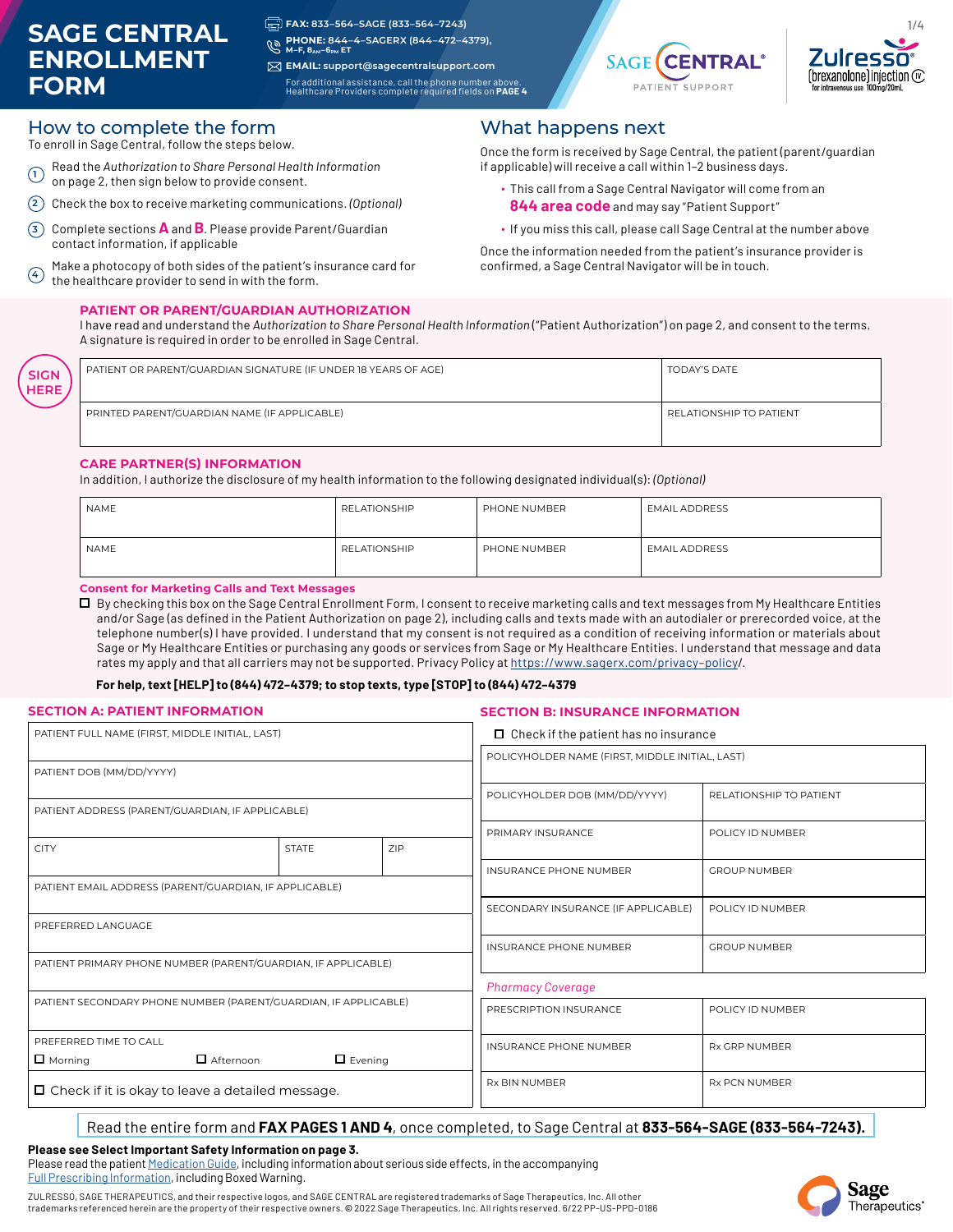# **SAGE CENTRAL ENROLLMENT FORM**

**SIGN HERE** **FAX: 833–564–SAGE (833–564–7243)**

**PHONE: 844–4–SAGERX (844–472–4379),**  $\mathscr{C}$ **M–F, 8AM–6PM ET**

**EMAIL: support@sagecentralsupport.com** For additional assistance, call the phone number above. Healthcare Providers complete required fields on **PAGE 4**



1/4

n

### How to complete the form

To enroll in Sage Central, follow the steps below.

- **<sup>1</sup>** Read the *Authorization to Share Personal Health Information*
- on page 2, then sign below to provide consent.
- **2** Check the box to receive marketing communications. *(Optional)*
- **<sup>3</sup>** Complete sections **A** and **B**. Please provide Parent/Guardian contact information, if applicable
- $\widehat{4}$  Make a photocopy of both sides of the patient's insurance card for<br>the boalthcare provider to send in with the form the healthcare provider to send in with the form.

#### **PATIENT OR PARENT/GUARDIAN AUTHORIZATION**

What happens next

Once the form is received by Sage Central, the patient (parent/guardian if applicable) will receive a call within 1–2 business days.

- ∙ This call from a Sage Central Navigator will come from an **844 area code** and may say "Patient Support"
- ∙ If you miss this call, please call Sage Central at the number above

Once the information needed from the patient's insurance provider is confirmed, a Sage Central Navigator will be in touch.

I have read and understand the *Authorization to Share Personal Health Information* ("Patient Authorization") on page 2, and consent to the terms. A signature is required in order to be enrolled in Sage Central.

| PATIENT OR PARENT/GUARDIAN SIGNATURE (IF UNDER 18 YEARS OF AGE) | <b>TODAY'S DATE</b>     |
|-----------------------------------------------------------------|-------------------------|
| PRINTED PARENT/GUARDIAN NAME (IF APPLICABLE)                    | RELATIONSHIP TO PATIENT |

#### **CARE PARTNER(S) INFORMATION**

In addition, I authorize the disclosure of my health information to the following designated individual(s): *(Optional)*

| NAME        | RELATIONSHIP        | PHONE NUMBER | EMAIL ADDRESS |
|-------------|---------------------|--------------|---------------|
| <b>NAME</b> | <b>RELATIONSHIP</b> | PHONE NUMBER | EMAIL ADDRESS |

**Consent for Marketing Calls and Text Messages**

 By checking this box on the Sage Central Enrollment Form, I consent to receive marketing calls and text messages from My Healthcare Entities and/or Sage (as defined in the Patient Authorization on page 2), including calls and texts made with an autodialer or prerecorded voice, at the telephone number(s) I have provided. I understand that my consent is not required as a condition of receiving information or materials about Sage or My Healthcare Entities or purchasing any goods or services from Sage or My Healthcare Entities. I understand that message and data rates my apply and that all carriers may not be supported. Privacy Policy at https://www.sagerx.com/privacy–policy/.

#### **For help, text [HELP] to (844) 472–4379; to stop texts, type [STOP] to (844) 472–4379**

#### **SECTION A: PATIENT INFORMATION**

#### **SECTION B: INSURANCE INFORMATION**

| PATIENT FULL NAME (FIRST, MIDDLE INITIAL, LAST)                 |  |                | $\Box$ Check if the patient has no insurance          |                         |  |
|-----------------------------------------------------------------|--|----------------|-------------------------------------------------------|-------------------------|--|
| PATIENT DOB (MM/DD/YYYY)                                        |  |                | POLICYHOLDER NAME (FIRST, MIDDLE INITIAL, LAST)       |                         |  |
|                                                                 |  |                | POLICYHOLDER DOB (MM/DD/YYYY)                         | RELATIONSHIP TO PATIENT |  |
| PATIENT ADDRESS (PARENT/GUARDIAN, IF APPLICABLE)                |  |                |                                                       |                         |  |
| 7IP<br><b>CITY</b><br><b>STATE</b>                              |  |                | PRIMARY INSURANCE                                     | POLICY ID NUMBER        |  |
|                                                                 |  |                |                                                       | <b>GROUP NUMBER</b>     |  |
| PATIENT EMAIL ADDRESS (PARENT/GUARDIAN, IF APPLICABLE)          |  |                |                                                       |                         |  |
|                                                                 |  |                | SECONDARY INSURANCE (IF APPLICABLE)                   | POLICY ID NUMBER        |  |
| PREFERRED LANGUAGE                                              |  |                |                                                       |                         |  |
|                                                                 |  |                | <b>INSURANCE PHONE NUMBER</b>                         | <b>GROUP NUMBER</b>     |  |
| PATIENT PRIMARY PHONE NUMBER (PARENT/GUARDIAN, IF APPLICABLE)   |  |                |                                                       |                         |  |
| PATIENT SECONDARY PHONE NUMBER (PARENT/GUARDIAN, IF APPLICABLE) |  |                | <b>Pharmacy Coverage</b>                              |                         |  |
|                                                                 |  |                | PRESCRIPTION INSURANCE                                | POLICY ID NUMBER        |  |
| PREFERRED TIME TO CALL                                          |  |                | <b>INSURANCE PHONE NUMBER</b><br><b>RX GRP NUMBER</b> |                         |  |
| Afternoon<br>$\Box$ Morning                                     |  | $\Box$ Evening |                                                       |                         |  |
| $\Box$ Check if it is okay to leave a detailed message.         |  |                | <b>RX BIN NUMBER</b>                                  | <b>RX PCN NUMBER</b>    |  |

#### Read the entire form and **FAX PAGES 1 AND 4**, once completed, to Sage Central at **833-564-SAGE (833-564-7243).**

#### **Please see Select Important Safety Information on page 3.**

Please read the patient [Medication Guide](https://assets.sagerx.com/zulresso/medication-guide.pdf), including information about serious side effects, in the accompanying [Full Prescribing Information,](https://assets.sagerx.com/zulresso/prescribing-information.pdf) including Boxed Warning.

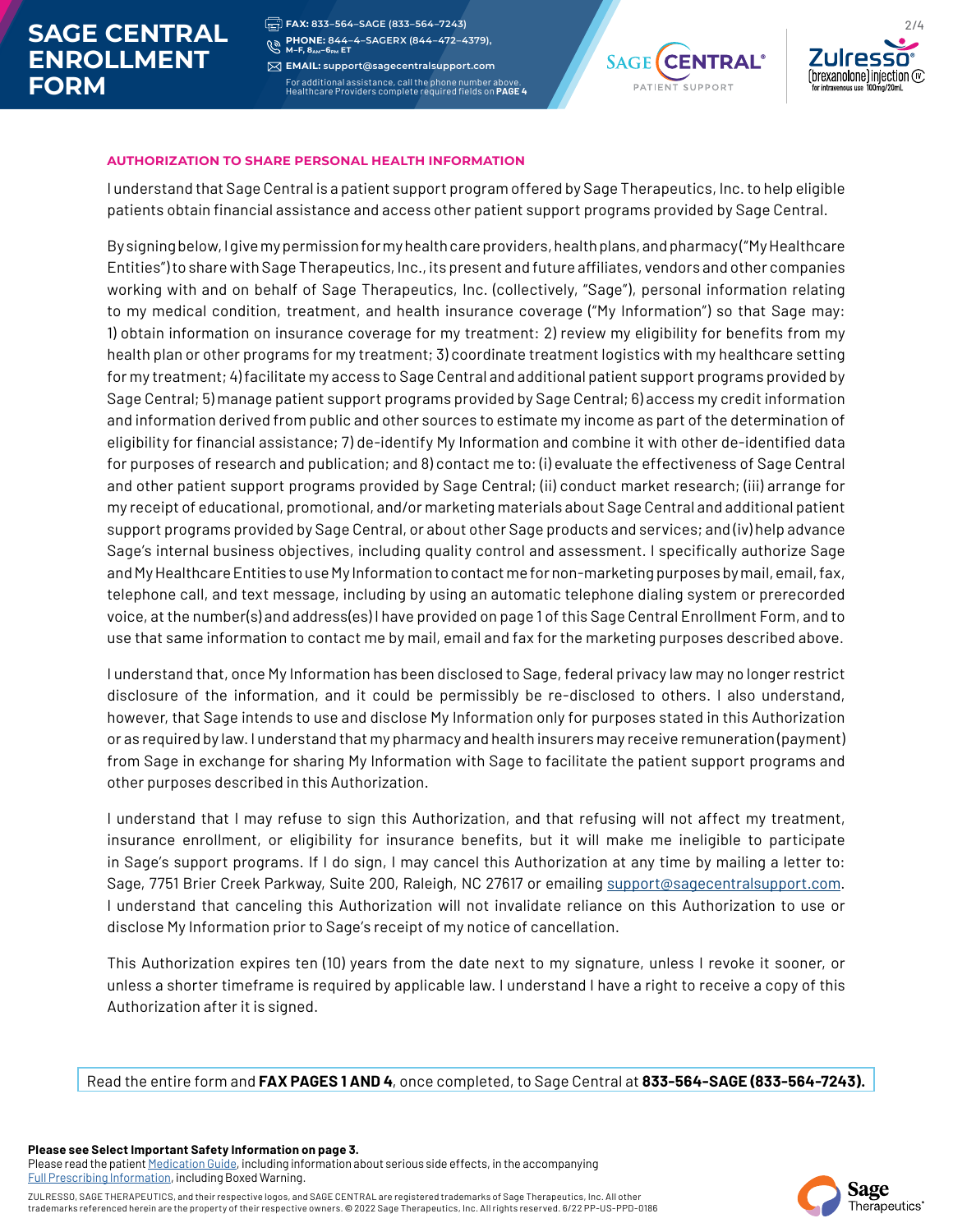# **SAGE CENTRAL ENROLLMENT FORM**

**FAX: 833–564–SAGE (833–564–7243) PHONE: 844–4–SAGERX (844–472–4379),** C **M–F, 8AM–6PM ET** 

**EMAIL: support@sagecentralsupport.com** For additional assistance, call the phone number above. Healthcare Providers complete required fields on **PAGE 4**





#### **AUTHORIZATION TO SHARE PERSONAL HEALTH INFORMATION**

I understand that Sage Central is a patient support program offered by Sage Therapeutics, Inc. to help eligible patients obtain financial assistance and access other patient support programs provided by Sage Central.

By signing below, I give my permission for my health care providers, health plans, and pharmacy ("My Healthcare Entities") to share with Sage Therapeutics, Inc., its present and future affiliates, vendors and other companies working with and on behalf of Sage Therapeutics, Inc. (collectively, "Sage"), personal information relating to my medical condition, treatment, and health insurance coverage ("My Information") so that Sage may: 1) obtain information on insurance coverage for my treatment: 2) review my eligibility for benefits from my health plan or other programs for my treatment; 3) coordinate treatment logistics with my healthcare setting for my treatment; 4) facilitate my access to Sage Central and additional patient support programs provided by Sage Central; 5) manage patient support programs provided by Sage Central; 6) access my credit information and information derived from public and other sources to estimate my income as part of the determination of eligibility for financial assistance; 7) de-identify My Information and combine it with other de-identified data for purposes of research and publication; and 8) contact me to: (i) evaluate the effectiveness of Sage Central and other patient support programs provided by Sage Central; (ii) conduct market research; (iii) arrange for my receipt of educational, promotional, and/or marketing materials about Sage Central and additional patient support programs provided by Sage Central, or about other Sage products and services; and (iv) help advance Sage's internal business objectives, including quality control and assessment. I specifically authorize Sage and My Healthcare Entities to use My Information to contact me for non-marketing purposes by mail, email, fax, telephone call, and text message, including by using an automatic telephone dialing system or prerecorded voice, at the number(s) and address(es) I have provided on page 1 of this Sage Central Enrollment Form, and to use that same information to contact me by mail, email and fax for the marketing purposes described above.

I understand that, once My Information has been disclosed to Sage, federal privacy law may no longer restrict disclosure of the information, and it could be permissibly be re-disclosed to others. I also understand, however, that Sage intends to use and disclose My Information only for purposes stated in this Authorization or as required by law. I understand that my pharmacy and health insurers may receive remuneration (payment) from Sage in exchange for sharing My Information with Sage to facilitate the patient support programs and other purposes described in this Authorization.

I understand that I may refuse to sign this Authorization, and that refusing will not affect my treatment, insurance enrollment, or eligibility for insurance benefits, but it will make me ineligible to participate in Sage's support programs. If I do sign, I may cancel this Authorization at any time by mailing a letter to: Sage, 7751 Brier Creek Parkway, Suite 200, Raleigh, NC 27617 or emailing support@sagecentralsupport.com. I understand that canceling this Authorization will not invalidate reliance on this Authorization to use or disclose My Information prior to Sage's receipt of my notice of cancellation.

This Authorization expires ten (10) years from the date next to my signature, unless I revoke it sooner, or unless a shorter timeframe is required by applicable law. I understand I have a right to receive a copy of this Authorization after it is signed.

Read the entire form and **FAX PAGES 1 AND 4**, once completed, to Sage Central at **833-564-SAGE (833-564-7243).**

**Please see Select Important Safety Information on page 3.** Please read the patient [Medication Guide](https://assets.sagerx.com/zulresso/medication-guide.pdf), including information about serious side effects, in the accompanying [Full Prescribing Information,](https://assets.sagerx.com/zulresso/prescribing-information.pdf) including Boxed Warning.

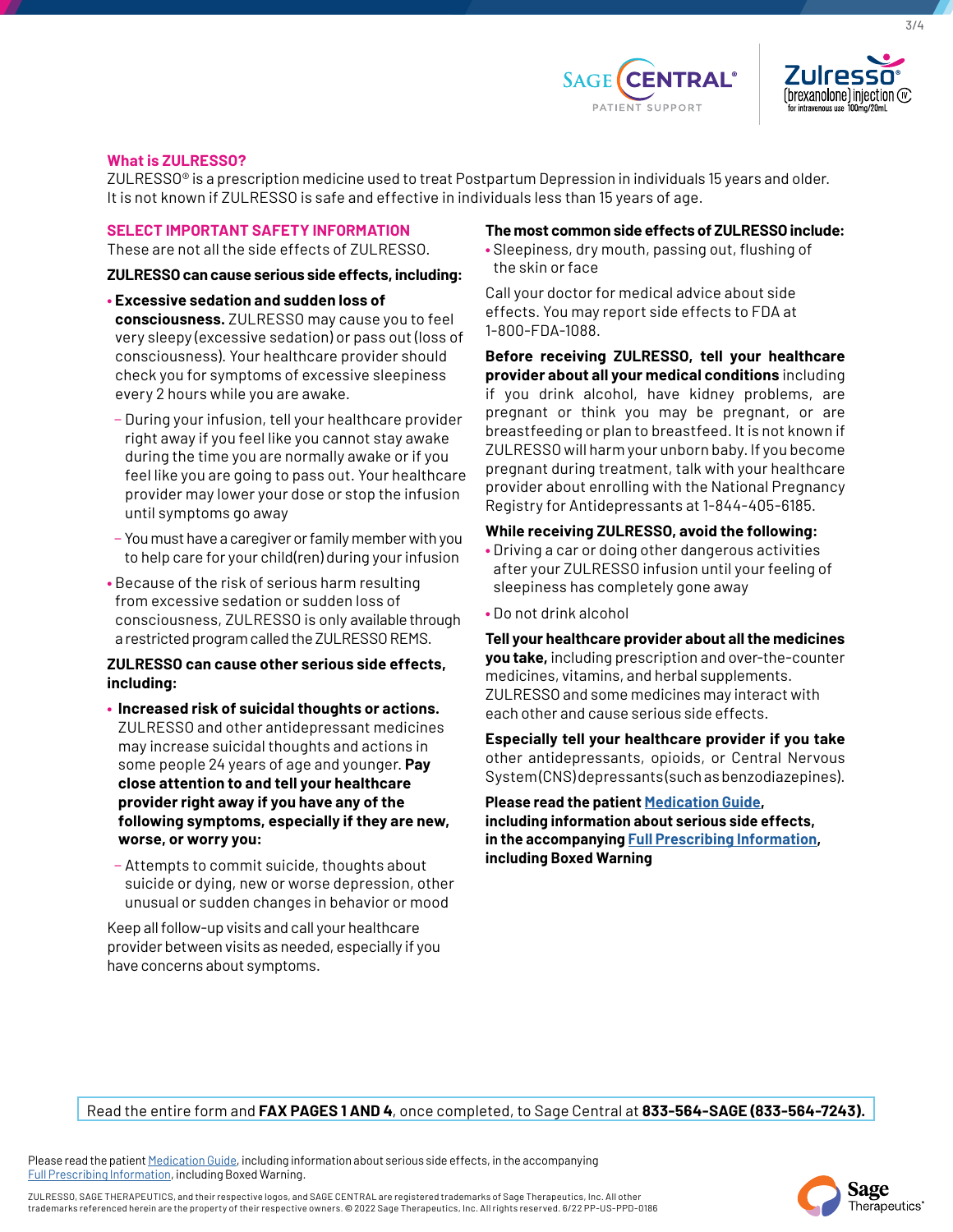



3/4

#### **What is ZULRESSO?**

ZULRESSO® is a prescription medicine used to treat Postpartum Depression in individuals 15 years and older. It is not known if ZULRESSO is safe and effective in individuals less than 15 years of age.

#### **SELECT IMPORTANT SAFETY INFORMATION**

These are not all the side effects of ZULRESSO.

#### **ZULRESSO can cause serious side effects, including:**

- **Excessive sedation and sudden loss of consciousness.** ZULRESSO may cause you to feel very sleepy (excessive sedation) or pass out (loss of consciousness). Your healthcare provider should check you for symptoms of excessive sleepiness every 2 hours while you are awake.
- − During your infusion, tell your healthcare provider right away if you feel like you cannot stay awake during the time you are normally awake or if you feel like you are going to pass out. Your healthcare provider may lower your dose or stop the infusion until symptoms go away
- − You must have a caregiver or family member with you to help care for your child(ren) during your infusion
- Because of the risk of serious harm resulting from excessive sedation or sudden loss of consciousness, ZULRESSO is only available through a restricted program called the ZULRESSO REMS.

#### **ZULRESSO can cause other serious side effects, including:**

- **Increased risk of suicidal thoughts or actions.** ZULRESSO and other antidepressant medicines may increase suicidal thoughts and actions in some people 24 years of age and younger. **Pay close attention to and tell your healthcare provider right away if you have any of the following symptoms, especially if they are new, worse, or worry you:**
- − Attempts to commit suicide, thoughts about suicide or dying, new or worse depression, other unusual or sudden changes in behavior or mood

Keep all follow-up visits and call your healthcare provider between visits as needed, especially if you have concerns about symptoms.

#### **The most common side effects of ZULRESSO include:**

**•** Sleepiness, dry mouth, passing out, flushing of the skin or face

Call your doctor for medical advice about side effects. You may report side effects to FDA at 1-800-FDA-1088.

**Before receiving ZULRESSO, tell your healthcare provider about all your medical conditions** including if you drink alcohol, have kidney problems, are pregnant or think you may be pregnant, or are breastfeeding or plan to breastfeed. It is not known if ZULRESSO will harm your unborn baby. If you become pregnant during treatment, talk with your healthcare provider about enrolling with the National Pregnancy Registry for Antidepressants at 1-844-405-6185.

### **While receiving ZULRESSO, avoid the following:**

- Driving a car or doing other dangerous activities after your ZULRESSO infusion until your feeling of sleepiness has completely gone away
- Do not drink alcohol

**Tell your healthcare provider about all the medicines you take,** including prescription and over-the-counter medicines, vitamins, and herbal supplements. ZULRESSO and some medicines may interact with each other and cause serious side effects.

**Especially tell your healthcare provider if you take** other antidepressants, opioids, or Central Nervous System (CNS) depressants (such as benzodiazepines).

**Please read the patient [Medication Guide,](https://assets.sagerx.com/zulresso/medication-guide.pdf) including information about serious side effects, in the accompanying [Full Prescribing Information](https://assets.sagerx.com/zulresso/prescribing-information.pdf), including Boxed Warning**

Read the entire form and **FAX PAGES 1 AND 4**, once completed, to Sage Central at **833-564-SAGE (833-564-7243).**

Please read the patient [Medication Guide](https://assets.sagerx.com/zulresso/medication-guide.pdf), including information about serious side effects, in the accompanying [Full Prescribing Information,](https://assets.sagerx.com/zulresso/prescribing-information.pdf) including Boxed Warning.

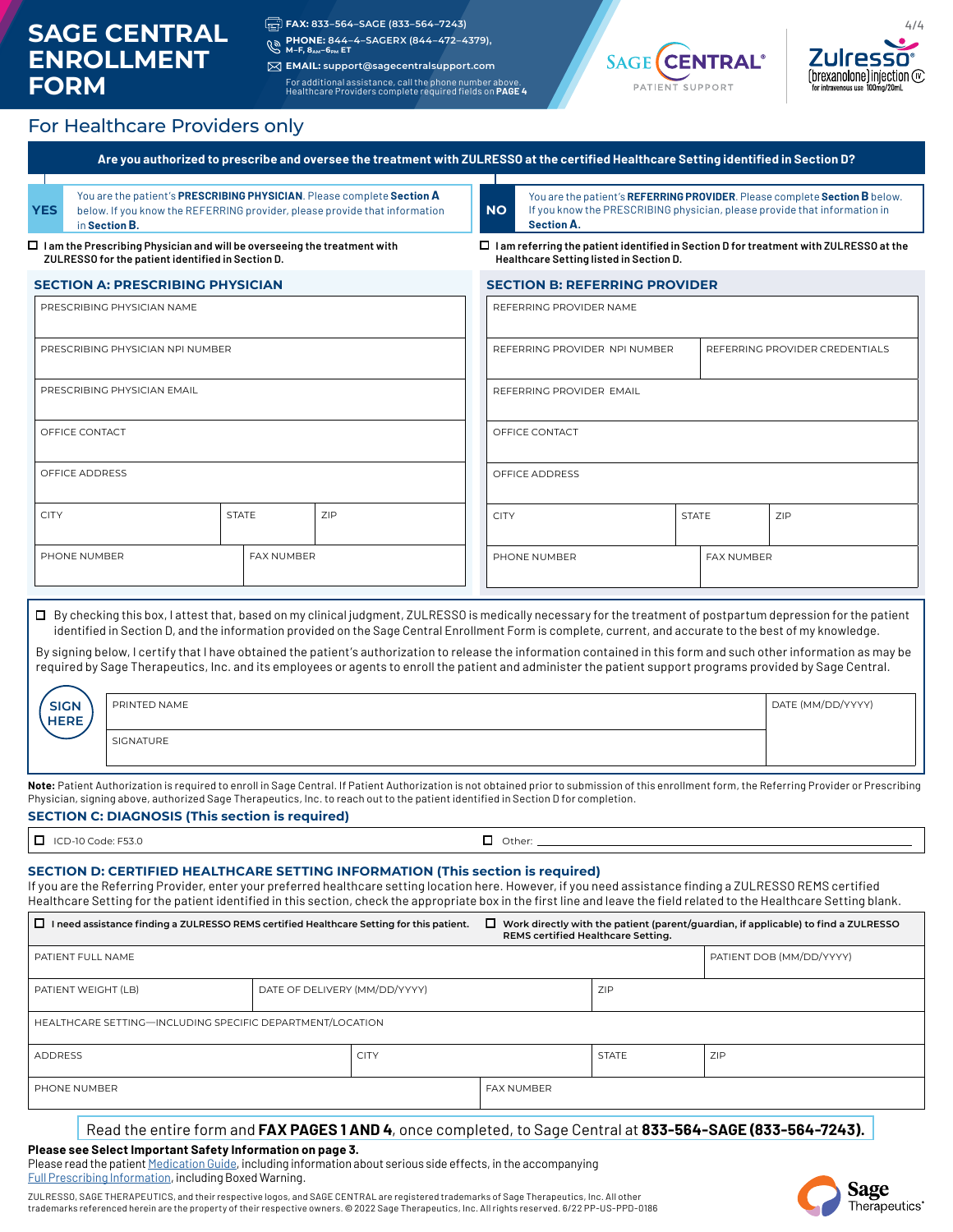# **SAGE CENTRAL ENROLLMENT FORM**

**FAX: 833–564–SAGE (833–564–7243)**

**PHONE: 844–4–SAGERX (844–472–4379), M–F, 8AM–6PM ET**

**EMAIL: support@sagecentralsupport.com** For additional assistance, call the phone number above. Healthcare Providers complete required fields on **PAGE 4**





### For Healthcare Providers only

| YES                                                                   | in Section B.                                                                                                                        |              | You are the patient's PRESCRIBING PHYSICIAN. Please complete Section A<br>below. If you know the REFERRING provider, please provide that information                                                                                                                                                                                                                                                                                                                                                                                                                                                                                                                | <b>NO</b><br><b>Section A.</b> |                                         |              | You are the patient's REFERRING PROVIDER. Please complete Section B below.<br>If you know the PRESCRIBING physician, please provide that information in |  |
|-----------------------------------------------------------------------|--------------------------------------------------------------------------------------------------------------------------------------|--------------|---------------------------------------------------------------------------------------------------------------------------------------------------------------------------------------------------------------------------------------------------------------------------------------------------------------------------------------------------------------------------------------------------------------------------------------------------------------------------------------------------------------------------------------------------------------------------------------------------------------------------------------------------------------------|--------------------------------|-----------------------------------------|--------------|---------------------------------------------------------------------------------------------------------------------------------------------------------|--|
|                                                                       | $\Box$ I am the Prescribing Physician and will be overseeing the treatment with<br>ZULRESSO for the patient identified in Section D. |              |                                                                                                                                                                                                                                                                                                                                                                                                                                                                                                                                                                                                                                                                     |                                | Healthcare Setting listed in Section D. |              | $\Box$ I am referring the patient identified in Section D for treatment with ZULRESSO at the                                                            |  |
|                                                                       | <b>SECTION A: PRESCRIBING PHYSICIAN</b>                                                                                              |              |                                                                                                                                                                                                                                                                                                                                                                                                                                                                                                                                                                                                                                                                     |                                | <b>SECTION B: REFERRING PROVIDER</b>    |              |                                                                                                                                                         |  |
|                                                                       | PRESCRIBING PHYSICIAN NAME                                                                                                           |              |                                                                                                                                                                                                                                                                                                                                                                                                                                                                                                                                                                                                                                                                     | REFERRING PROVIDER NAME        |                                         |              |                                                                                                                                                         |  |
|                                                                       | PRESCRIBING PHYSICIAN NPI NUMBER                                                                                                     |              |                                                                                                                                                                                                                                                                                                                                                                                                                                                                                                                                                                                                                                                                     |                                | REFERRING PROVIDER NPI NUMBER           |              | REFERRING PROVIDER CREDENTIALS                                                                                                                          |  |
|                                                                       | PRESCRIBING PHYSICIAN EMAIL                                                                                                          |              |                                                                                                                                                                                                                                                                                                                                                                                                                                                                                                                                                                                                                                                                     | REFERRING PROVIDER EMAIL       |                                         |              |                                                                                                                                                         |  |
| OFFICE CONTACT                                                        |                                                                                                                                      |              |                                                                                                                                                                                                                                                                                                                                                                                                                                                                                                                                                                                                                                                                     | OFFICE CONTACT                 |                                         |              |                                                                                                                                                         |  |
| OFFICE ADDRESS                                                        |                                                                                                                                      |              |                                                                                                                                                                                                                                                                                                                                                                                                                                                                                                                                                                                                                                                                     | OFFICE ADDRESS                 |                                         |              |                                                                                                                                                         |  |
| <b>CITY</b>                                                           |                                                                                                                                      | <b>STATE</b> | ZIP                                                                                                                                                                                                                                                                                                                                                                                                                                                                                                                                                                                                                                                                 | <b>CITY</b>                    |                                         | <b>STATE</b> | ZIP                                                                                                                                                     |  |
| PHONE NUMBER                                                          |                                                                                                                                      | FAX NUMBER   |                                                                                                                                                                                                                                                                                                                                                                                                                                                                                                                                                                                                                                                                     | PHONE NUMBER                   |                                         | FAX NUMBER   |                                                                                                                                                         |  |
|                                                                       |                                                                                                                                      |              |                                                                                                                                                                                                                                                                                                                                                                                                                                                                                                                                                                                                                                                                     |                                |                                         |              |                                                                                                                                                         |  |
|                                                                       |                                                                                                                                      |              | □ By checking this box, I attest that, based on my clinical judgment, ZULRESSO is medically necessary for the treatment of postpartum depression for the patient<br>identified in Section D, and the information provided on the Sage Central Enrollment Form is complete, current, and accurate to the best of my knowledge.<br>By signing below, I certify that I have obtained the patient's authorization to release the information contained in this form and such other information as may be<br>required by Sage Therapeutics, Inc. and its employees or agents to enroll the patient and administer the patient support programs provided by Sage Central. |                                |                                         |              |                                                                                                                                                         |  |
| <b>SIGN</b><br><b>HERE</b>                                            | PRINTED NAME<br>SIGNATURE                                                                                                            |              |                                                                                                                                                                                                                                                                                                                                                                                                                                                                                                                                                                                                                                                                     |                                |                                         |              | DATE (MM/DD/YYYY)                                                                                                                                       |  |
|                                                                       | <b>SECTION C: DIAGNOSIS (This section is required)</b>                                                                               |              | Note: Patient Authorization is required to enroll in Sage Central. If Patient Authorization is not obtained prior to submission of this enrollment form, the Referring Provider or Prescribing<br>Physician, signing above, authorized Sage Therapeutics, Inc. to reach out to the patient identified in Section D for completion.                                                                                                                                                                                                                                                                                                                                  |                                |                                         |              |                                                                                                                                                         |  |
|                                                                       |                                                                                                                                      |              |                                                                                                                                                                                                                                                                                                                                                                                                                                                                                                                                                                                                                                                                     |                                |                                         |              |                                                                                                                                                         |  |
|                                                                       |                                                                                                                                      |              | SECTION D: CERTIFIED HEALTHCARE SETTING INFORMATION (This section is required)<br>If you are the Referring Provider, enter your preferred healthcare setting location here. However, if you need assistance finding a ZULRESSO REMS certified<br>Healthcare Setting for the patient identified in this section, check the appropriate box in the first line and leave the field related to the Healthcare Setting blank.<br>$\Box$ I need assistance finding a ZULRESSO REMS certified Healthcare Setting for this patient.                                                                                                                                         |                                |                                         |              |                                                                                                                                                         |  |
|                                                                       |                                                                                                                                      |              |                                                                                                                                                                                                                                                                                                                                                                                                                                                                                                                                                                                                                                                                     |                                | REMS certified Healthcare Setting.      |              | PATIENT DOB (MM/DD/YYYY)                                                                                                                                |  |
|                                                                       |                                                                                                                                      |              | DATE OF DELIVERY (MM/DD/YYYY)                                                                                                                                                                                                                                                                                                                                                                                                                                                                                                                                                                                                                                       |                                | ZIP                                     |              |                                                                                                                                                         |  |
| $\Box$ ICD-10 Code: F53.0<br>PATIENT FULL NAME<br>PATIENT WEIGHT (LB) | HEALTHCARE SETTING-INCLUDING SPECIFIC DEPARTMENT/LOCATION                                                                            |              |                                                                                                                                                                                                                                                                                                                                                                                                                                                                                                                                                                                                                                                                     |                                |                                         |              | $\Box$ Work directly with the patient (parent/guardian, if applicable) to find a ZULRESSO                                                               |  |
| <b>ADDRESS</b>                                                        |                                                                                                                                      |              | <b>CITY</b>                                                                                                                                                                                                                                                                                                                                                                                                                                                                                                                                                                                                                                                         |                                | <b>STATE</b>                            | ZIP          |                                                                                                                                                         |  |

**Please see Select Important Safety Information on page 3.** Please read the patient [Medication Guide](https://assets.sagerx.com/zulresso/medication-guide.pdf), including information about serious side effects, in the accompanying

[Full Prescribing Information,](https://assets.sagerx.com/zulresso/prescribing-information.pdf) including Boxed Warning.

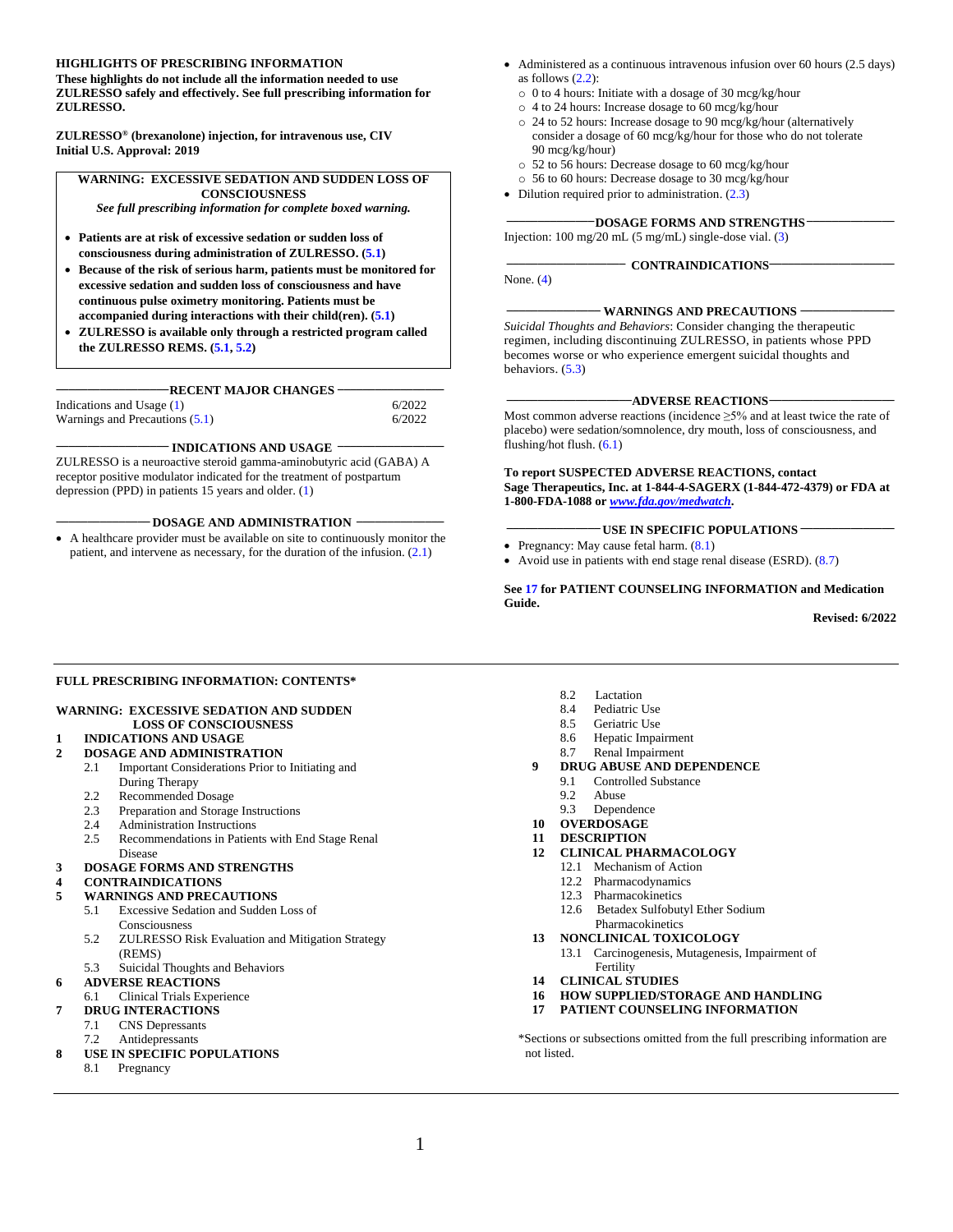#### **HIGHLIGHTS OF PRESCRIBING INFORMATION**

**These highlights do not include all the information needed to use ZULRESSO safely and effectively. See full prescribing information for ZULRESSO.**

**ZULRESSO® (brexanolone) injection, for intravenous use, CIV Initial U.S. Approval: 2019** 

#### **WARNING: EXCESSIVE SEDATION AND SUDDEN LOSS OF CONSCIOUSNESS**

*See full prescribing information for complete boxed warning.*

- **Patients are at risk of excessive sedation or sudden loss of consciousness during administration of ZULRESSO. ([5.1](#page-7-4))**
- **Because of the risk of serious harm, patients must be monitored for excessive sedation and sudden loss of consciousness and have continuous pulse oximetry monitoring. Patients must be accompanied during interactions with their child(ren). ([5.1](#page-7-4))**
- **ZULRESSO is available only through a restricted program called the ZULRESSO REMS. ([5.1](#page-7-4), [5.2](#page-8-2))**

#### **\_\_\_\_\_\_\_\_\_\_\_\_\_\_\_\_\_\_RECENT MAJOR CHANGES \_\_\_\_\_\_\_\_\_\_\_\_\_\_\_\_\_**

| Indications and Usage (1)      | 6/2022 |
|--------------------------------|--------|
| Warnings and Precautions (5.1) | 6/2022 |

#### **\_\_\_\_\_\_\_\_\_\_\_\_\_\_\_\_\_\_ INDICATIONS AND USAGE \_\_\_\_\_\_\_\_\_\_\_\_\_\_\_\_\_**

ZULRESSO is a neuroactive steroid gamma-aminobutyric acid (GABA) A receptor positive modulator indicated for the treatment of postpartum depression (PPD) in patients 15 years and older. [\(1\)](#page-5-4)

#### **\_\_\_\_\_\_\_\_\_\_\_\_\_\_\_ DOSAGE AND ADMINISTRATION \_\_\_\_\_\_\_\_\_\_\_\_\_\_**

• A healthcare provider must be available on site to continuously monitor the patient, and intervene as necessary, for the duration of the infusion. ([2.1\)](#page-5-4)

- Administered as a continuous intravenous infusion over 60 hours (2.5 days) as follows  $(2.2)$  $(2.2)$  $(2.2)$ :
	- o 0 to 4 hours: Initiate with a dosage of 30 mcg/kg/hour
	- o 4 to 24 hours: Increase dosage to 60 mcg/kg/hour
	- o 24 to 52 hours: Increase dosage to 90 mcg/kg/hour (alternatively consider a dosage of 60 mcg/kg/hour for those who do not tolerate 90 mcg/kg/hour)
	- o 52 to 56 hours: Decrease dosage to 60 mcg/kg/hour
	- o 56 to 60 hours: Decrease dosage to 30 mcg/kg/hour
- Dilution required prior to administration.  $(2.3)$  $(2.3)$  $(2.3)$

#### **\_\_\_\_\_\_\_\_\_\_\_\_\_\_DOSAGE FORMS AND STRENGTHS \_\_\_\_\_\_\_\_\_\_\_\_\_\_**

**\_\_\_\_\_\_\_\_\_\_\_\_\_\_\_\_\_\_\_ CONTRAINDICATIONS\_\_\_\_\_\_\_\_\_\_\_\_\_\_\_\_\_\_\_\_**

Injection: 100 mg/20 mL (5 mg/mL) single-dose vial. [\(3\)](#page-7-4)

None. ([4\)](#page-7-4)

#### **WARNINGS AND PRECAUTIONS**  $\cdot$

*Suicidal Thoughts and Behaviors*: Consider changing the therapeutic regimen, including discontinuing ZULRESSO, in patients whose PPD becomes worse or who experience emergent suicidal thoughts and behaviors. ([5.3\)](#page-8-2)

#### **\_\_\_\_\_\_\_\_\_\_\_\_\_\_\_\_\_\_\_\_ADVERSE REACTIONS\_\_\_\_\_\_\_\_\_\_\_\_\_\_\_\_\_\_\_\_**

Most common adverse reactions (incidence ≥5% and at least twice the rate of placebo) were sedation/somnolence, dry mouth, loss of consciousness, and flushing/hot flush. ([6.1](#page-9-1))

#### **To report SUSPECTED ADVERSE REACTIONS, contact Sage Therapeutics, Inc. at 1-844-4-SAGERX (1-844-472-4379) or FDA at 1-800-FDA-1088 or** *[www.fda.gov/medwatch](http://www.fda.gov/medwatch)***.**

- **\_\_\_\_\_\_\_\_\_\_\_\_\_\_\_ USE IN SPECIFIC POPULATIONS \_\_\_\_\_\_\_\_\_\_\_\_\_\_\_**
- Pregnancy: May cause fetal harm.  $(8.1)$  $(8.1)$
- Avoid use in patients with end stage renal disease (ESRD). [\(8.7](#page-14-6))

**See [17](#page-21-1) for PATIENT COUNSELING INFORMATION and Medication Guide.**

**Revised: 6/2022**

#### **FULL PRESCRIBING INFORMATION: CONTENTS\***

#### **[WARNING: EXCESSIVE SEDATION AND SUDDEN](#page-5-0)  [LOSS OF CONSCIOUSNESS](#page-5-0)**

**1 [INDICATIONS AND USAGE](#page-5-1)**

#### **2 [DOSAGE AND ADMINISTRATION](#page-5-2)**

- 2.1 [Important Considerations Prior to Initiating and](#page-5-3) [During Therapy](#page-5-4)
- 
- 2.2 [Recommended Dosage](#page-5-4)<br>2.3 Prenaration and Storage [Preparation and Storage Instructions](#page-6-1)
- 2.4 [Administration Instructions](#page-6-0)
- 2.5 [Recommendations in Patients with End Stage Renal](#page-7-4)  Disease

#### **3 [DOSAGE FORMS AND STRENGTHS](#page-7-0)**

#### **4 [CONTRAINDICATIONS](#page-7-1)**

- **5 [WARNINGS AND PRECAUTIONS](#page-7-2)**
	- 5.1 [Excessive Sedation and Sudden Loss of](#page-7-3)  [Consciousness](#page-7-3)
	- 5.2 [ZULRESSO Risk Evaluation and Mitigation Strategy](#page-8-0)  [\(REMS\)](#page-8-0)
	- 5.3 [Suicidal Thoughts and Behaviors](#page-8-1)

#### **6 ADVERSE [REACTIONS](#page-9-1)**

- 6.1 [Clinical Trials Experience](#page-9-0)
- **7 [DRUG INTERACTIONS](#page-12-2)**
	- 7.1 [CNS Depressants](#page-12-2)
	- 7.2 [Antidepressants](#page-12-2)
- **8 [USE IN SPECIFIC POPULATIONS](#page-12-0)**
- [8.1 Pregnancy](#page-12-1)
- 8.2 [Lactation](#page-13-0)
- 8.4 [Pediatric Use](#page-14-0)
- 8.5 [Geriatric Use](#page-14-1)
- 8.6 [Hepatic Impairment](#page-14-2)
- 8.7 [Renal Impairment](#page-14-3)
- **9 [DRUG ABUSE AND DEPENDENCE](#page-14-4)**
	- 9.1 [Controlled Substance](#page-14-5)
	- 9.2 [Abuse](#page-15-0)
	- 9.3 [Dependence](#page-15-1)
- **10 [OVERDOSAGE](#page-15-2)**
- **11 [DESCRIPTION](#page-15-3)**
- **12 [CLINICAL PHARMACOLOGY](#page-16-0)**
	- 12.1 [Mechanism of Action](#page-16-1)
	- 12.2 [Pharmacodynamics](#page-16-2)
	- 12.3 [Pharmacokinetics](#page-16-3)
	- 12.6 [Betadex Sulfobutyl Ether Sodium](#page-17-0)  [Pharmacokinetics](#page-17-0)
- **13 [NONCLINICAL TOXICOLOGY](#page-18-0)**
	- 13.1 [Carcinogenesis, Mutagenesis, Impairment of](#page-18-1)  [Fertility](#page-18-1)
- **14 [CLINICAL STUDIES](#page-18-2)**
- **16 [HOW SUPPLIED/STORAGE AND HANDLING](#page-20-0)**
- **17 [PATIENT COUNSELING INFORMATION](#page-21-0)**

\*Sections or subsections omitted from the full prescribing information are not listed.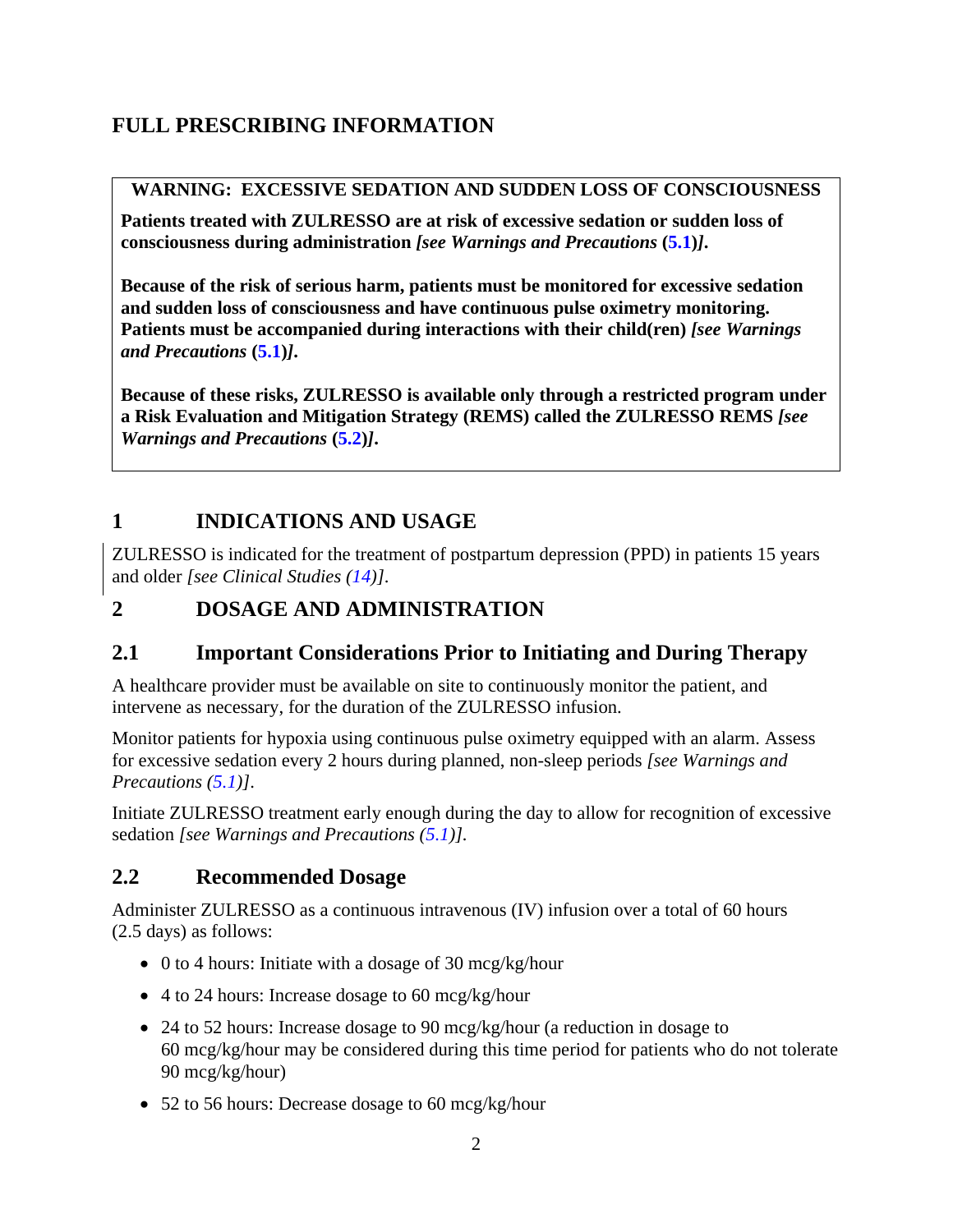# <span id="page-5-4"></span>**FULL PRESCRIBING INFORMATION**

## <span id="page-5-0"></span>**WARNING: EXCESSIVE SEDATION AND SUDDEN LOSS OF CONSCIOUSNESS**

**Patients treated with ZULRESSO are at risk of excessive sedation or sudden loss of consciousness during administration** *[see Warnings and Precautions* **([5.1](#page-7-4))***]***.** 

**Because of the risk of serious harm, patients must be monitored for excessive sedation and sudden loss of consciousness and have continuous pulse oximetry monitoring. Patients must be accompanied during interactions with their child(ren)** *[see Warnings and Precautions* **([5.1](#page-7-4))***]***.**

**Because of these risks, ZULRESSO is available only through a restricted program under a Risk Evaluation and Mitigation Strategy (REMS) called the ZULRESSO REMS** *[see Warnings and Precautions* **([5.2](#page-8-2))***]***.**

# <span id="page-5-1"></span>**1 INDICATIONS AND USAGE**

ZULRESSO is indicated for the treatment of postpartum depression (PPD) in patients 15 years and older *[see Clinical Studies ([14](#page-18-3))]*.

# <span id="page-5-2"></span>**2 DOSAGE AND ADMINISTRATION**

## <span id="page-5-3"></span>**2.1 Important Considerations Prior to Initiating and During Therapy**

A healthcare provider must be available on site to continuously monitor the patient, and intervene as necessary, for the duration of the ZULRESSO infusion.

Monitor patients for hypoxia using continuous pulse oximetry equipped with an alarm. Assess for excessive sedation every 2 hours during planned, non-sleep periods *[see Warnings and Precautions ([5.1](#page-7-4))]*.

Initiate ZULRESSO treatment early enough during the day to allow for recognition of excessive sedation *[see Warnings and Precautions ([5.1](#page-7-4))].*

## **2.2 Recommended Dosage**

Administer ZULRESSO as a continuous intravenous (IV) infusion over a total of 60 hours (2.5 days) as follows:

- 0 to 4 hours: Initiate with a dosage of 30 mcg/kg/hour
- 4 to 24 hours: Increase dosage to 60 mcg/kg/hour
- 24 to 52 hours: Increase dosage to 90 mcg/kg/hour (a reduction in dosage to 60 mcg/kg/hour may be considered during this time period for patients who do not tolerate 90 mcg/kg/hour)
- 52 to 56 hours: Decrease dosage to 60 mcg/kg/hour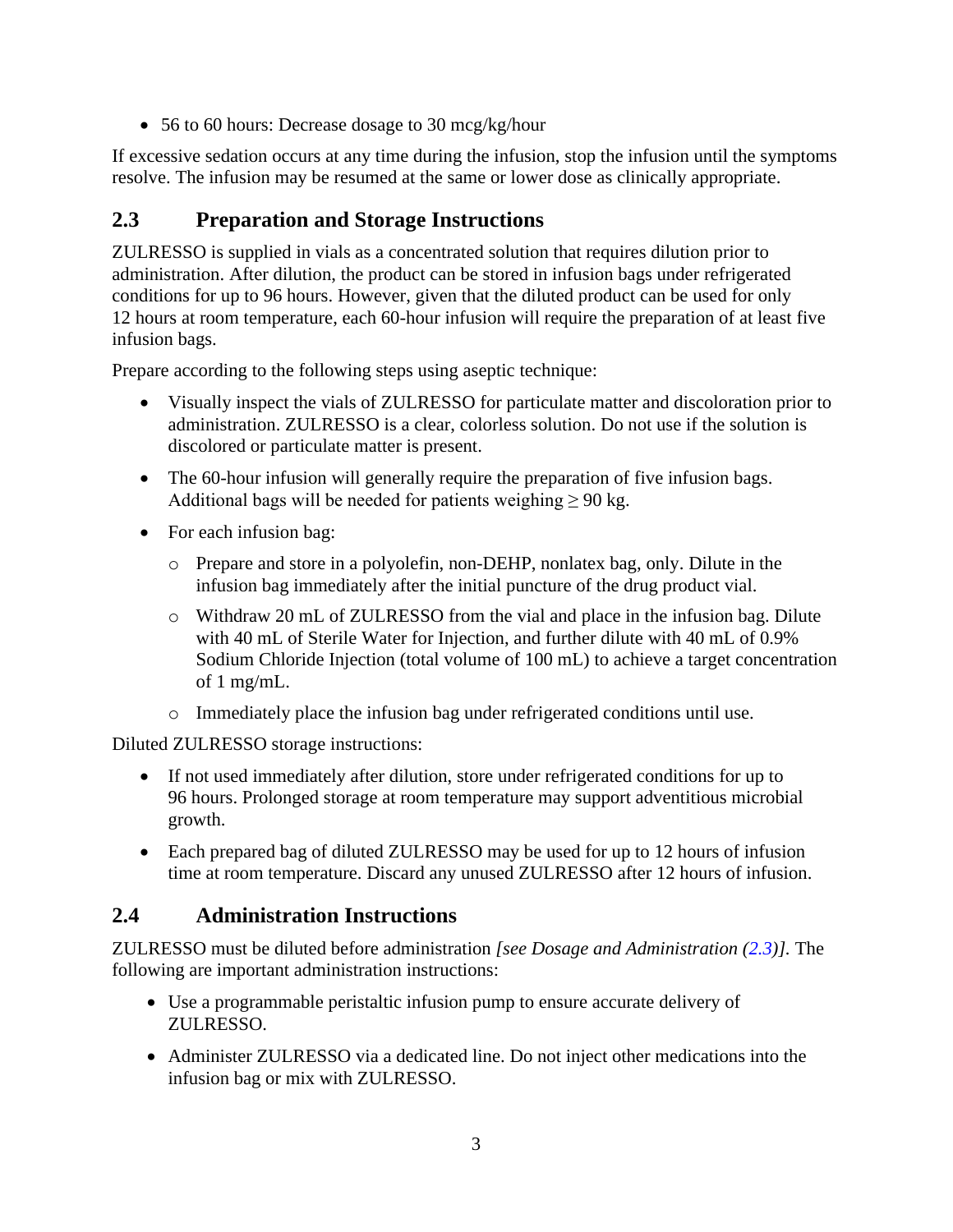<span id="page-6-1"></span>• 56 to 60 hours: Decrease dosage to 30 mcg/kg/hour

If excessive sedation occurs at any time during the infusion, stop the infusion until the symptoms resolve. The infusion may be resumed at the same or lower dose as clinically appropriate.

## **2.3 Preparation and Storage Instructions**

ZULRESSO is supplied in vials as a concentrated solution that requires dilution prior to administration. After dilution, the product can be stored in infusion bags under refrigerated conditions for up to 96 hours. However, given that the diluted product can be used for only 12 hours at room temperature, each 60-hour infusion will require the preparation of at least five infusion bags.

Prepare according to the following steps using aseptic technique:

- Visually inspect the vials of ZULRESSO for particulate matter and discoloration prior to administration. ZULRESSO is a clear, colorless solution. Do not use if the solution is discolored or particulate matter is present.
- The 60-hour infusion will generally require the preparation of five infusion bags. Additional bags will be needed for patients weighing  $\geq 90$  kg.
- For each infusion bag:
	- o Prepare and store in a polyolefin, non-DEHP, nonlatex bag, only. Dilute in the infusion bag immediately after the initial puncture of the drug product vial.
	- o Withdraw 20 mL of ZULRESSO from the vial and place in the infusion bag. Dilute with 40 mL of Sterile Water for Injection, and further dilute with 40 mL of 0.9% Sodium Chloride Injection (total volume of 100 mL) to achieve a target concentration of 1 mg/mL.
	- o Immediately place the infusion bag under refrigerated conditions until use.

Diluted ZULRESSO storage instructions:

- If not used immediately after dilution, store under refrigerated conditions for up to 96 hours. Prolonged storage at room temperature may support adventitious microbial growth.
- Each prepared bag of diluted ZULRESSO may be used for up to 12 hours of infusion time at room temperature. Discard any unused ZULRESSO after 12 hours of infusion.

## <span id="page-6-0"></span>**2.4 Administration Instructions**

ZULRESSO must be diluted before administration *[see Dosage and Administration (2.3)].* The following are important administration instructions:

- Use a programmable peristaltic infusion pump to ensure accurate delivery of ZULRESSO.
- Administer ZULRESSO via a dedicated line. Do not inject other medications into the infusion bag or mix with ZULRESSO.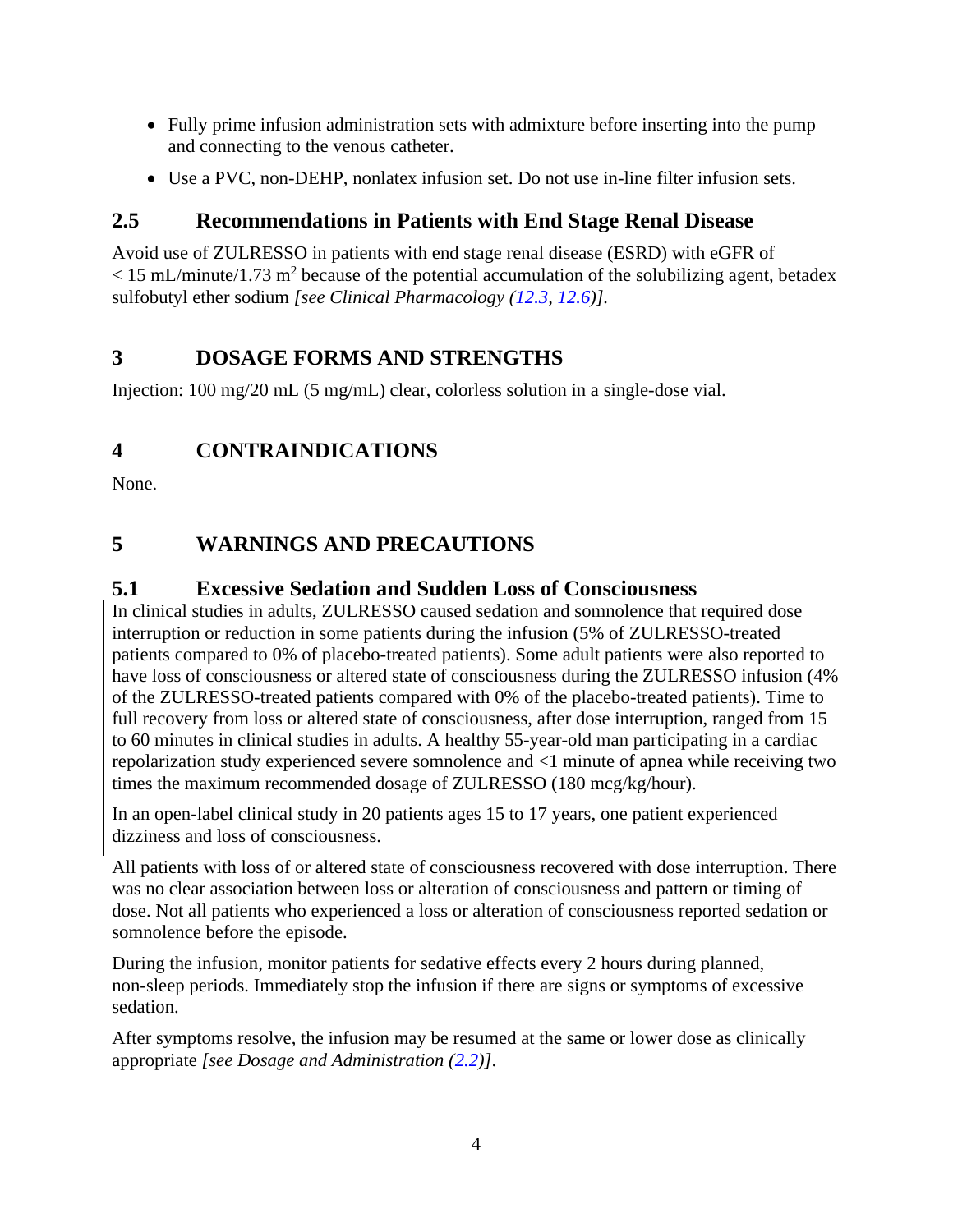- <span id="page-7-4"></span>• Fully prime infusion administration sets with admixture before inserting into the pump and connecting to the venous catheter.
- Use a PVC, non-DEHP, nonlatex infusion set. Do not use in-line filter infusion sets.

# **2.5 Recommendations in Patients with End Stage Renal Disease**

Avoid use of ZULRESSO in patients with end stage renal disease (ESRD) with eGFR of  $<$  15 mL/minute/1.73 m<sup>2</sup> because of the potential accumulation of the solubilizing agent, betadex sulfobutyl ether sodium *[see Clinical Pharmacology ([12.3,](#page-16-4) [12.6](#page-17-1))].*

# <span id="page-7-0"></span>**3 DOSAGE FORMS AND STRENGTHS**

Injection: 100 mg/20 mL (5 mg/mL) clear, colorless solution in a single-dose vial.

# <span id="page-7-1"></span>**4 CONTRAINDICATIONS**

None.

# <span id="page-7-2"></span>**5 WARNINGS AND PRECAUTIONS**

## <span id="page-7-3"></span>**5.1 Excessive Sedation and Sudden Loss of Consciousness**

In clinical studies in adults, ZULRESSO caused sedation and somnolence that required dose interruption or reduction in some patients during the infusion (5% of ZULRESSO-treated patients compared to 0% of placebo-treated patients). Some adult patients were also reported to have loss of consciousness or altered state of consciousness during the ZULRESSO infusion (4% of the ZULRESSO-treated patients compared with 0% of the placebo-treated patients). Time to full recovery from loss or altered state of consciousness, after dose interruption, ranged from 15 to 60 minutes in clinical studies in adults. A healthy 55-year-old man participating in a cardiac repolarization study experienced severe somnolence and <1 minute of apnea while receiving two times the maximum recommended dosage of ZULRESSO (180 mcg/kg/hour).

In an open-label clinical study in 20 patients ages 15 to 17 years, one patient experienced dizziness and loss of consciousness.

All patients with loss of or altered state of consciousness recovered with dose interruption. There was no clear association between loss or alteration of consciousness and pattern or timing of dose. Not all patients who experienced a loss or alteration of consciousness reported sedation or somnolence before the episode.

During the infusion, monitor patients for sedative effects every 2 hours during planned, non-sleep periods. Immediately stop the infusion if there are signs or symptoms of excessive sedation.

After symptoms resolve, the infusion may be resumed at the same or lower dose as clinically appropriate *[see Dosage and Administration ([2.2](#page-5-4))]*.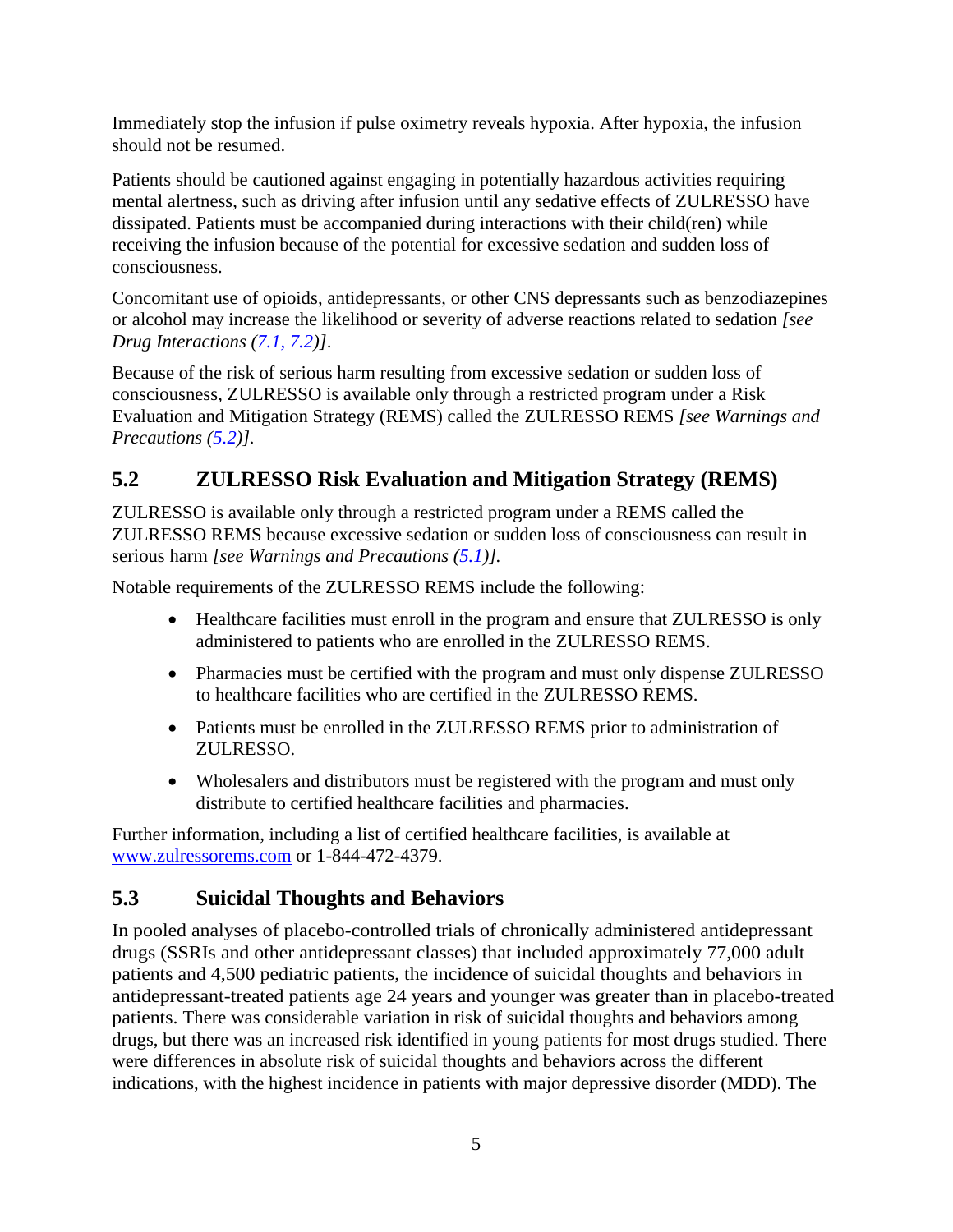<span id="page-8-2"></span>Immediately stop the infusion if pulse oximetry reveals hypoxia. After hypoxia, the infusion should not be resumed.

Patients should be cautioned against engaging in potentially hazardous activities requiring mental alertness, such as driving after infusion until any sedative effects of ZULRESSO have dissipated. Patients must be accompanied during interactions with their child(ren) while receiving the infusion because of the potential for excessive sedation and sudden loss of consciousness.

Concomitant use of opioids, antidepressants, or other CNS depressants such as benzodiazepines or alcohol may increase the likelihood or severity of adverse reactions related to sedation *[see Drug Interactions ([7.1](#page-12-2), [7.2](#page-12-2))]*.

Because of the risk of serious harm resulting from excessive sedation or sudden loss of consciousness, ZULRESSO is available only through a restricted program under a Risk Evaluation and Mitigation Strategy (REMS) called the ZULRESSO REMS *[see Warnings and Precautions (5.2)].*

# <span id="page-8-0"></span>**5.2 ZULRESSO Risk Evaluation and Mitigation Strategy (REMS)**

ZULRESSO is available only through a restricted program under a REMS called the ZULRESSO REMS because excessive sedation or sudden loss of consciousness can result in serious harm *[see Warnings and Precautions ([5.1](#page-7-4))].*

Notable requirements of the ZULRESSO REMS include the following:

- Healthcare facilities must enroll in the program and ensure that ZULRESSO is only administered to patients who are enrolled in the ZULRESSO REMS.
- Pharmacies must be certified with the program and must only dispense ZULRESSO to healthcare facilities who are certified in the ZULRESSO REMS.
- Patients must be enrolled in the ZULRESSO REMS prior to administration of ZULRESSO.
- Wholesalers and distributors must be registered with the program and must only distribute to certified healthcare facilities and pharmacies.

Further information, including a list of certified healthcare facilities, is available at [www.zulressorems.com](http://www.zulressorems.com/) or 1-844-472-4379.

## <span id="page-8-1"></span>**5.3 Suicidal Thoughts and Behaviors**

In pooled analyses of placebo-controlled trials of chronically administered antidepressant drugs (SSRIs and other antidepressant classes) that included approximately 77,000 adult patients and 4,500 pediatric patients, the incidence of suicidal thoughts and behaviors in antidepressant-treated patients age 24 years and younger was greater than in placebo-treated patients. There was considerable variation in risk of suicidal thoughts and behaviors among drugs, but there was an increased risk identified in young patients for most drugs studied. There were differences in absolute risk of suicidal thoughts and behaviors across the different indications, with the highest incidence in patients with major depressive disorder (MDD). The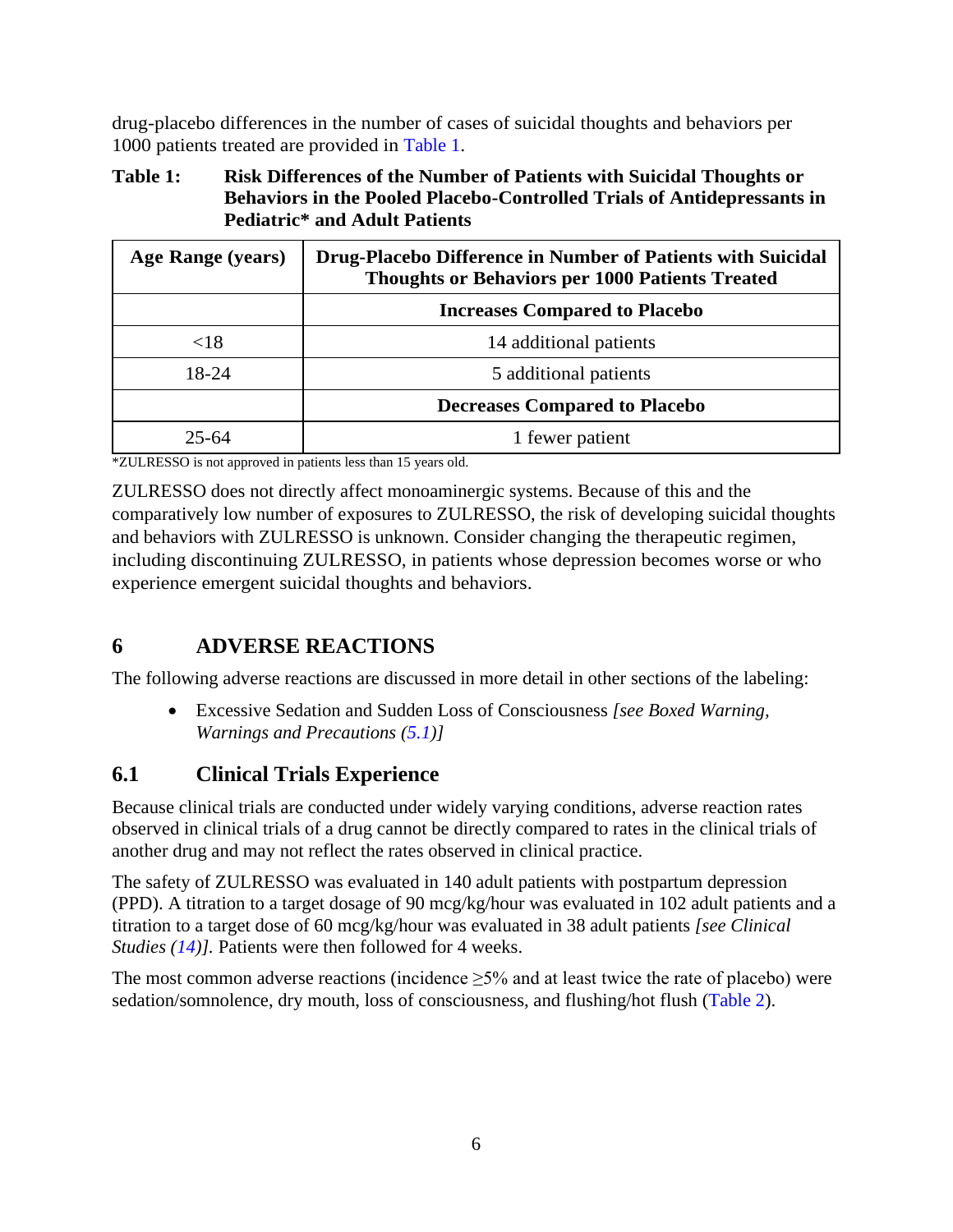<span id="page-9-1"></span>drug-placebo differences in the number of cases of suicidal thoughts and behaviors per 1000 patients treated are provided in [Table](#page-9-2) 1.

### <span id="page-9-2"></span>**Table 1: Risk Differences of the Number of Patients with Suicidal Thoughts or Behaviors in the Pooled Placebo-Controlled Trials of Antidepressants in Pediatric\* and Adult Patients**

| Age Range (years) | Drug-Placebo Difference in Number of Patients with Suicidal<br><b>Thoughts or Behaviors per 1000 Patients Treated</b> |  |  |
|-------------------|-----------------------------------------------------------------------------------------------------------------------|--|--|
|                   | <b>Increases Compared to Placebo</b>                                                                                  |  |  |
| ${<}18$           | 14 additional patients                                                                                                |  |  |
| 18-24             | 5 additional patients                                                                                                 |  |  |
|                   | <b>Decreases Compared to Placebo</b>                                                                                  |  |  |
| 25-64             | 1 fewer patient                                                                                                       |  |  |

\*ZULRESSO is not approved in patients less than 15 years old.

ZULRESSO does not directly affect monoaminergic systems. Because of this and the comparatively low number of exposures to ZULRESSO, the risk of developing suicidal thoughts and behaviors with ZULRESSO is unknown. Consider changing the therapeutic regimen, including discontinuing ZULRESSO, in patients whose depression becomes worse or who experience emergent suicidal thoughts and behaviors.

## **6 ADVERSE REACTIONS**

The following adverse reactions are discussed in more detail in other sections of the labeling:

• Excessive Sedation and Sudden Loss of Consciousness *[see Boxed Warning, Warnings and Precautions ([5.1](#page-7-4))]*

## <span id="page-9-0"></span>**6.1 Clinical Trials Experience**

Because clinical trials are conducted under widely varying conditions, adverse reaction rates observed in clinical trials of a drug cannot be directly compared to rates in the clinical trials of another drug and may not reflect the rates observed in clinical practice.

The safety of ZULRESSO was evaluated in 140 adult patients with postpartum depression (PPD). A titration to a target dosage of 90 mcg/kg/hour was evaluated in 102 adult patients and a titration to a target dose of 60 mcg/kg/hour was evaluated in 38 adult patients *[see Clinical Studies ([14](#page-18-3))].* Patients were then followed for 4 weeks.

The most common adverse reactions (incidence  $\geq$ 5% and at least twice the rate of placebo) were sedation/somnolence, dry mouth, loss of consciousness, and flushing/hot flush [\(Table](#page-11-0) 2).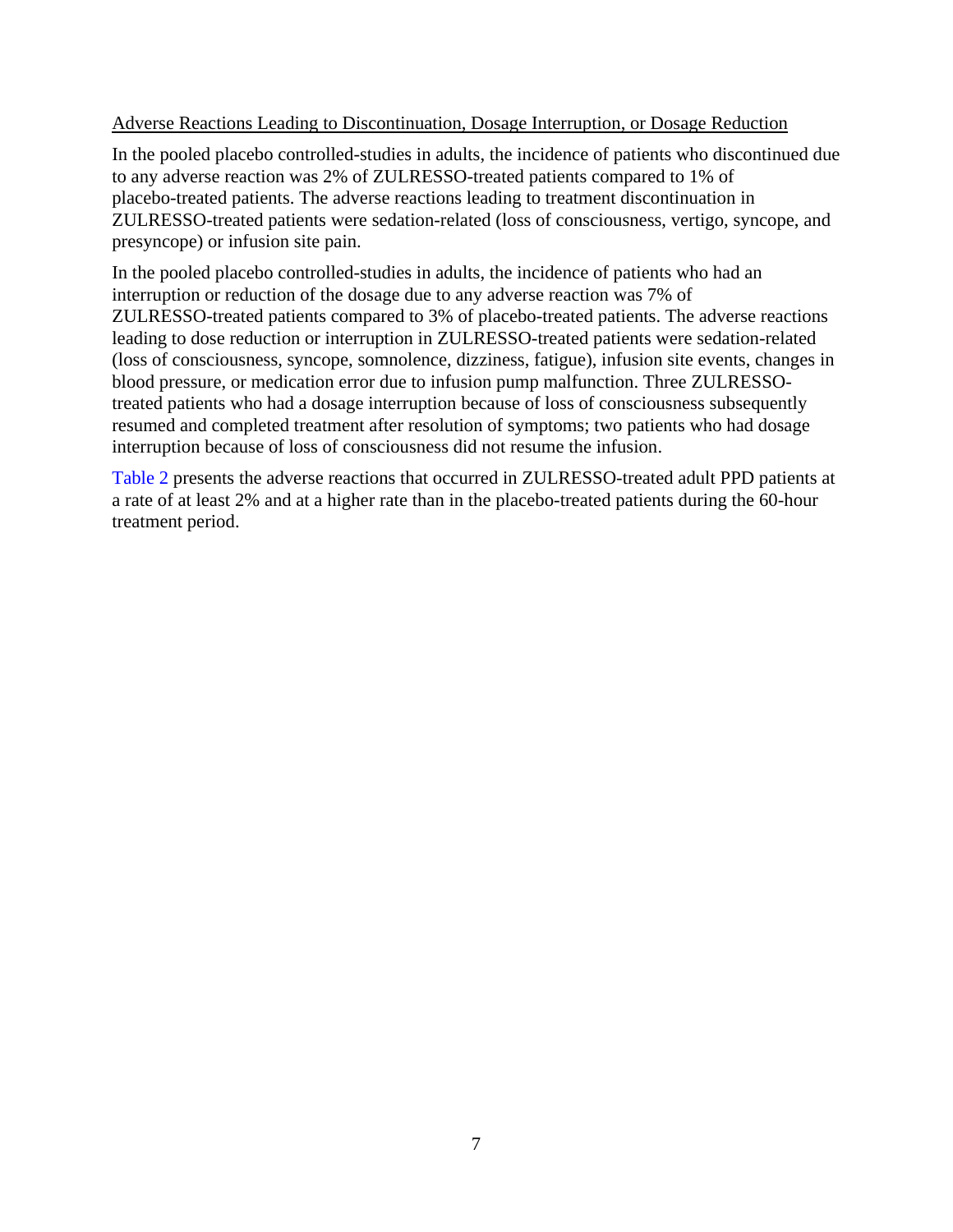### Adverse Reactions Leading to Discontinuation, Dosage Interruption, or Dosage Reduction

In the pooled placebo controlled-studies in adults, the incidence of patients who discontinued due to any adverse reaction was 2% of ZULRESSO-treated patients compared to 1% of placebo-treated patients. The adverse reactions leading to treatment discontinuation in ZULRESSO-treated patients were sedation-related (loss of consciousness, vertigo, syncope, and presyncope) or infusion site pain.

In the pooled placebo controlled-studies in adults, the incidence of patients who had an interruption or reduction of the dosage due to any adverse reaction was 7% of ZULRESSO-treated patients compared to 3% of placebo-treated patients. The adverse reactions leading to dose reduction or interruption in ZULRESSO-treated patients were sedation-related (loss of consciousness, syncope, somnolence, dizziness, fatigue), infusion site events, changes in blood pressure, or medication error due to infusion pump malfunction. Three ZULRESSOtreated patients who had a dosage interruption because of loss of consciousness subsequently resumed and completed treatment after resolution of symptoms; two patients who had dosage interruption because of loss of consciousness did not resume the infusion.

[Table](#page-11-0) 2 presents the adverse reactions that occurred in ZULRESSO-treated adult PPD patients at a rate of at least 2% and at a higher rate than in the placebo-treated patients during the 60-hour treatment period.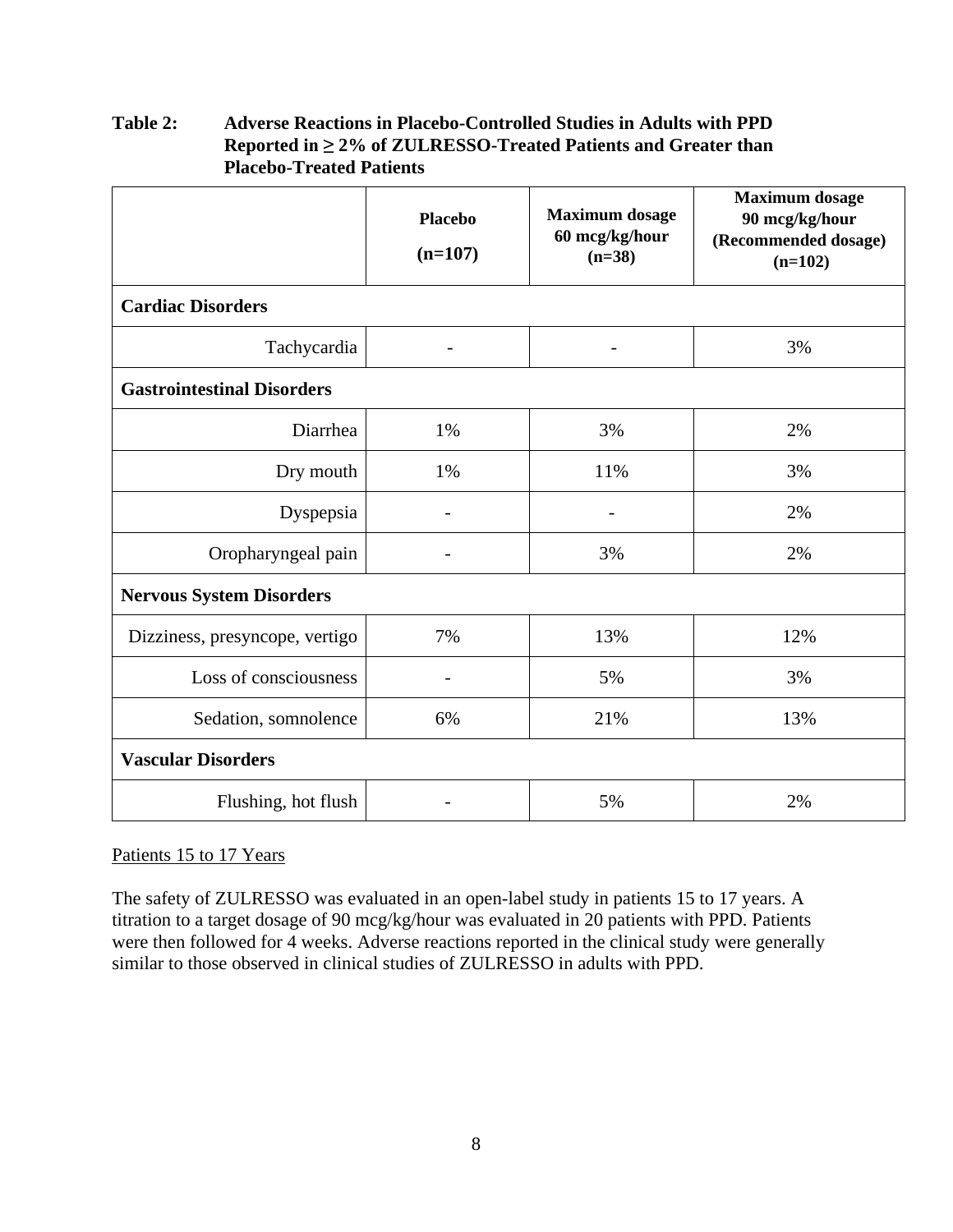|                                   | <b>Placebo</b><br>$(n=107)$ | <b>Maximum</b> dosage<br>60 mcg/kg/hour<br>$(n=38)$ | <b>Maximum</b> dosage<br>90 mcg/kg/hour<br>(Recommended dosage)<br>$(n=102)$ |
|-----------------------------------|-----------------------------|-----------------------------------------------------|------------------------------------------------------------------------------|
| <b>Cardiac Disorders</b>          |                             |                                                     |                                                                              |
| Tachycardia                       |                             |                                                     | 3%                                                                           |
| <b>Gastrointestinal Disorders</b> |                             |                                                     |                                                                              |
| Diarrhea                          | 1%                          | 3%                                                  | 2%                                                                           |
| Dry mouth                         | 1%                          | 11%                                                 | 3%                                                                           |
| Dyspepsia                         |                             | $\overline{a}$                                      | 2%                                                                           |
| Oropharyngeal pain                |                             | 3%                                                  | 2%                                                                           |
| <b>Nervous System Disorders</b>   |                             |                                                     |                                                                              |
| Dizziness, presyncope, vertigo    | 7%                          | 13%                                                 | 12%                                                                          |
| Loss of consciousness             |                             | 5%                                                  | 3%                                                                           |
| Sedation, somnolence              | 6%                          | 21%                                                 | 13%                                                                          |
| <b>Vascular Disorders</b>         |                             |                                                     |                                                                              |
| Flushing, hot flush               |                             | 5%                                                  | 2%                                                                           |

### <span id="page-11-0"></span>**Table 2: Adverse Reactions in Placebo-Controlled Studies in Adults with PPD Reported in ≥ 2% of ZULRESSO-Treated Patients and Greater than Placebo-Treated Patients**

### Patients 15 to 17 Years

The safety of ZULRESSO was evaluated in an open-label study in patients 15 to 17 years. A titration to a target dosage of 90 mcg/kg/hour was evaluated in 20 patients with PPD. Patients were then followed for 4 weeks. Adverse reactions reported in the clinical study were generally similar to those observed in clinical studies of ZULRESSO in adults with PPD.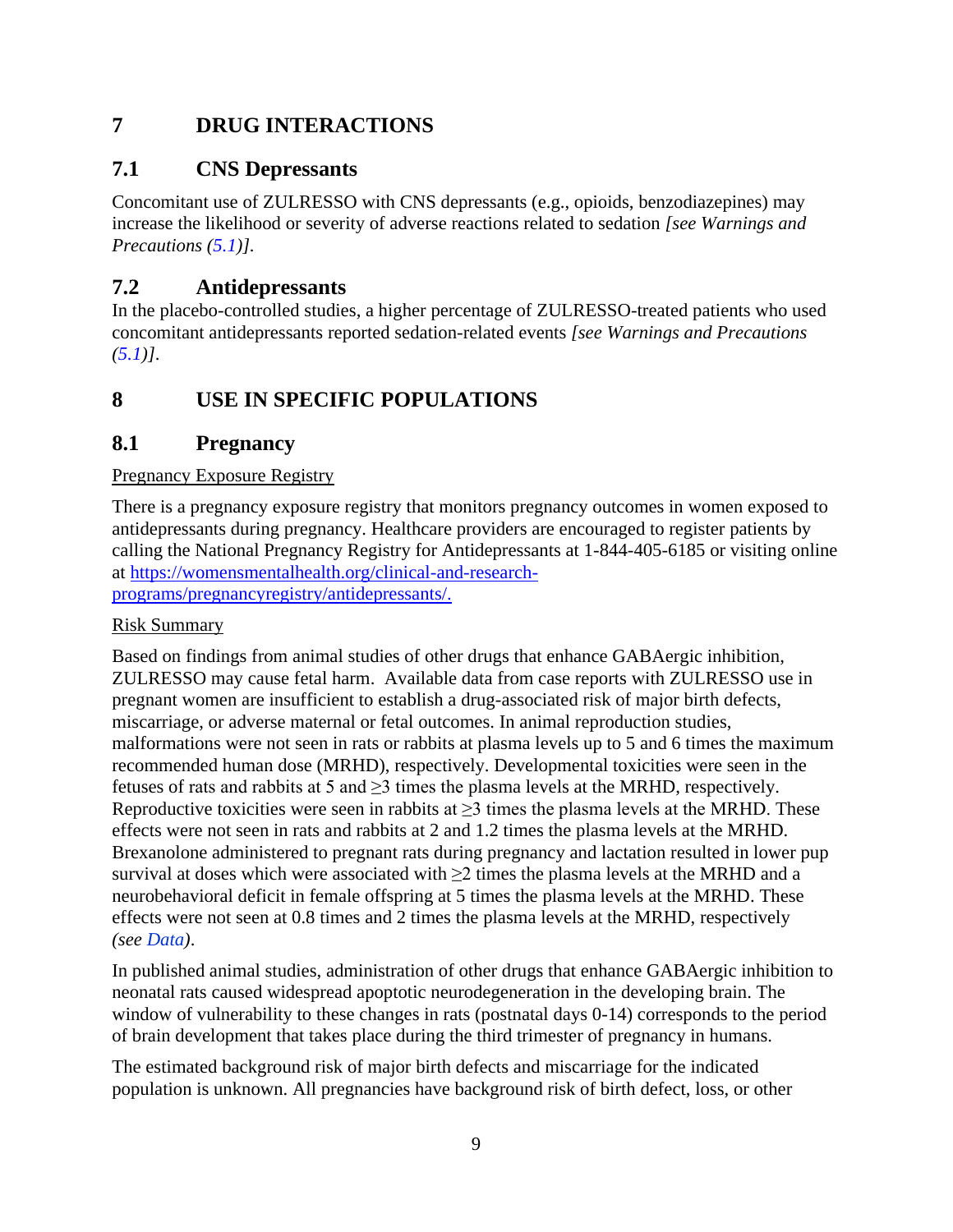# <span id="page-12-2"></span>**7 DRUG INTERACTIONS**

## **7.1 CNS Depressants**

Concomitant use of ZULRESSO with CNS depressants (e.g., opioids, benzodiazepines) may increase the likelihood or severity of adverse reactions related to sedation *[see Warnings and Precautions ([5.1](#page-7-4))].*

## **7.2 Antidepressants**

In the placebo-controlled studies, a higher percentage of ZULRESSO-treated patients who used concomitant antidepressants reported sedation-related events *[see Warnings and Precautions ([5.1](#page-7-4))]*.

# <span id="page-12-0"></span>**8 USE IN SPECIFIC POPULATIONS**

## <span id="page-12-1"></span>**8.1 Pregnancy**

### Pregnancy Exposure Registry

There is a pregnancy exposure registry that monitors pregnancy outcomes in women exposed to antidepressants during pregnancy. Healthcare providers are encouraged to register patients by calling the National Pregnancy Registry for Antidepressants at 1-844-405-6185 or visiting online at [https://womensmentalhealth.org/clinical-and-research](https://womensmentalhealth.org/clinical-and-research-programs/pregnancyregistry/antidepressants/)[programs/pregnancyregistry/antidepressants/.](https://womensmentalhealth.org/clinical-and-research-programs/pregnancyregistry/antidepressants/)

### Risk Summary

Based on findings from animal studies of other drugs that enhance GABAergic inhibition, ZULRESSO may cause fetal harm. Available data from case reports with ZULRESSO use in pregnant women are insufficient to establish a drug-associated risk of major birth defects, miscarriage, or adverse maternal or fetal outcomes. In animal reproduction studies, malformations were not seen in rats or rabbits at plasma levels up to 5 and 6 times the maximum recommended human dose (MRHD), respectively. Developmental toxicities were seen in the fetuses of rats and rabbits at 5 and  $\geq$ 3 times the plasma levels at the MRHD, respectively. Reproductive toxicities were seen in rabbits at  $\geq$ 3 times the plasma levels at the MRHD. These effects were not seen in rats and rabbits at 2 and 1.2 times the plasma levels at the MRHD. Brexanolone administered to pregnant rats during pregnancy and lactation resulted in lower pup survival at doses which were associated with >2 times the plasma levels at the MRHD and a neurobehavioral deficit in female offspring at 5 times the plasma levels at the MRHD. These effects were not seen at 0.8 times and 2 times the plasma levels at the MRHD, respectively *(see [Data](#page-13-1))*.

In published animal studies, administration of other drugs that enhance GABAergic inhibition to neonatal rats caused widespread apoptotic neurodegeneration in the developing brain. The window of vulnerability to these changes in rats (postnatal days 0-14) corresponds to the period of brain development that takes place during the third trimester of pregnancy in humans.

The estimated background risk of major birth defects and miscarriage for the indicated population is unknown. All pregnancies have background risk of birth defect, loss, or other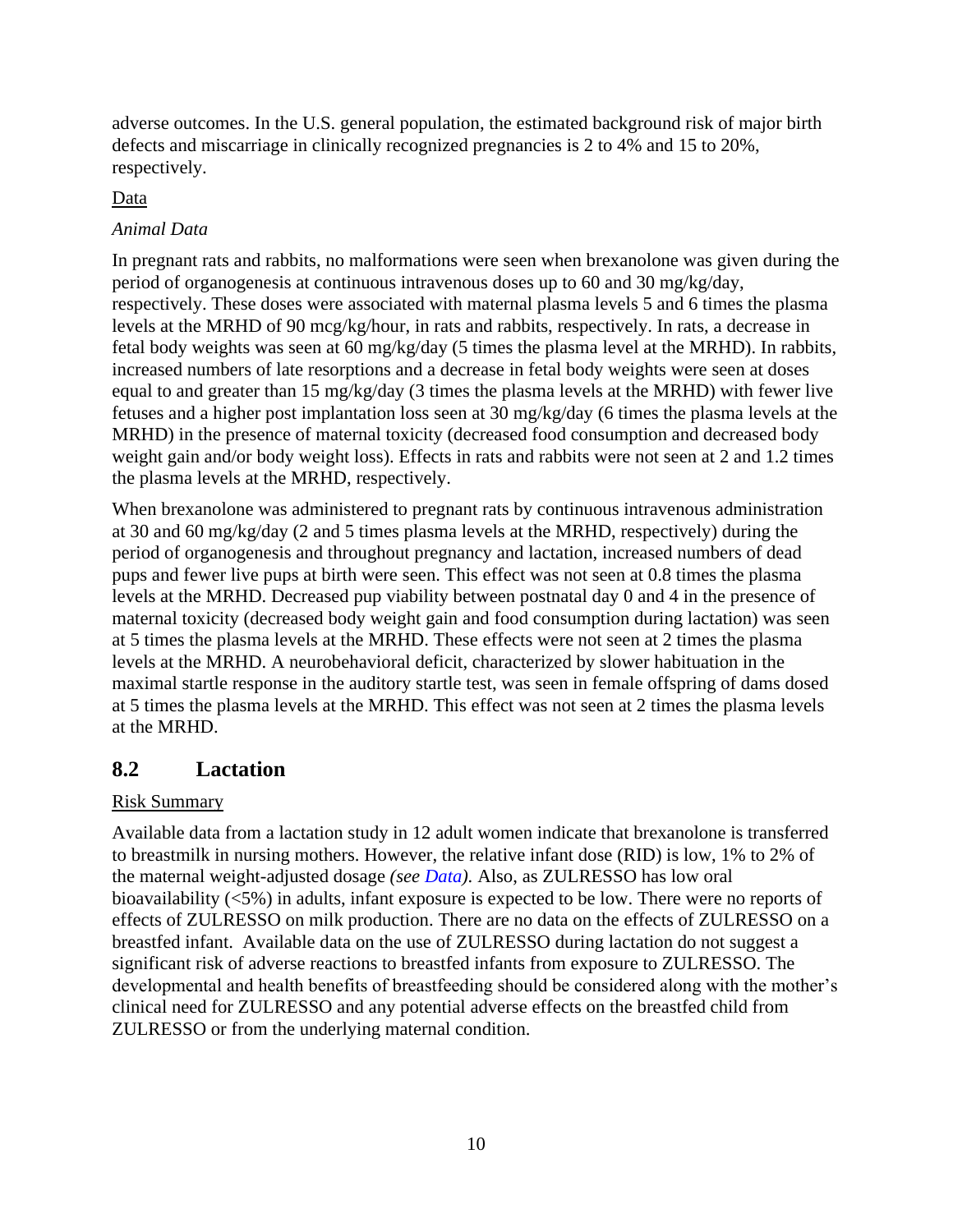<span id="page-13-1"></span>adverse outcomes. In the U.S. general population, the estimated background risk of major birth defects and miscarriage in clinically recognized pregnancies is 2 to 4% and 15 to 20%, respectively.

### Data

### *Animal Data*

In pregnant rats and rabbits, no malformations were seen when brexanolone was given during the period of organogenesis at continuous intravenous doses up to 60 and 30 mg/kg/day, respectively. These doses were associated with maternal plasma levels 5 and 6 times the plasma levels at the MRHD of 90 mcg/kg/hour, in rats and rabbits, respectively. In rats, a decrease in fetal body weights was seen at 60 mg/kg/day (5 times the plasma level at the MRHD). In rabbits, increased numbers of late resorptions and a decrease in fetal body weights were seen at doses equal to and greater than 15 mg/kg/day (3 times the plasma levels at the MRHD) with fewer live fetuses and a higher post implantation loss seen at 30 mg/kg/day (6 times the plasma levels at the MRHD) in the presence of maternal toxicity (decreased food consumption and decreased body weight gain and/or body weight loss). Effects in rats and rabbits were not seen at 2 and 1.2 times the plasma levels at the MRHD, respectively.

When brexanolone was administered to pregnant rats by continuous intravenous administration at 30 and 60 mg/kg/day (2 and 5 times plasma levels at the MRHD, respectively) during the period of organogenesis and throughout pregnancy and lactation, increased numbers of dead pups and fewer live pups at birth were seen. This effect was not seen at 0.8 times the plasma levels at the MRHD. Decreased pup viability between postnatal day 0 and 4 in the presence of maternal toxicity (decreased body weight gain and food consumption during lactation) was seen at 5 times the plasma levels at the MRHD. These effects were not seen at 2 times the plasma levels at the MRHD. A neurobehavioral deficit, characterized by slower habituation in the maximal startle response in the auditory startle test, was seen in female offspring of dams dosed at 5 times the plasma levels at the MRHD. This effect was not seen at 2 times the plasma levels at the MRHD.

## <span id="page-13-0"></span>**8.2 Lactation**

### Risk Summary

Available data from a lactation study in 12 adult women indicate that brexanolone is transferred to breastmilk in nursing mothers. However, the relative infant dose (RID) is low, 1% to 2% of the maternal weight-adjusted dosage *(see [Data\)](#page-14-7).* Also, as ZULRESSO has low oral bioavailability (<5%) in adults, infant exposure is expected to be low. There were no reports of effects of ZULRESSO on milk production. There are no data on the effects of ZULRESSO on a breastfed infant. Available data on the use of ZULRESSO during lactation do not suggest a significant risk of adverse reactions to breastfed infants from exposure to ZULRESSO. The developmental and health benefits of breastfeeding should be considered along with the mother's clinical need for ZULRESSO and any potential adverse effects on the breastfed child from ZULRESSO or from the underlying maternal condition.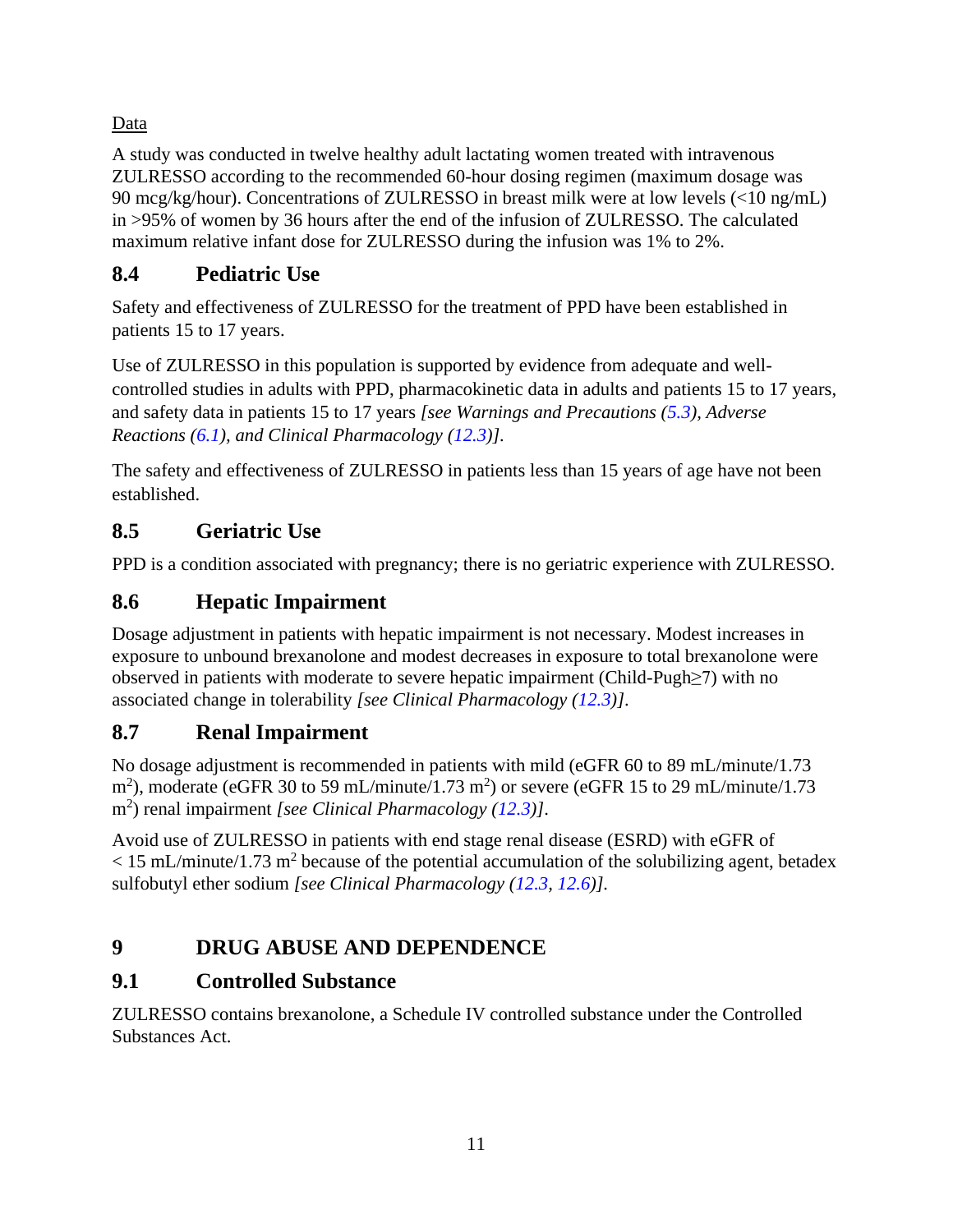## <span id="page-14-7"></span><span id="page-14-6"></span>Data

A study was conducted in twelve healthy adult lactating women treated with intravenous ZULRESSO according to the recommended 60-hour dosing regimen (maximum dosage was 90 mcg/kg/hour). Concentrations of ZULRESSO in breast milk were at low levels (<10 ng/mL) in >95% of women by 36 hours after the end of the infusion of ZULRESSO. The calculated maximum relative infant dose for ZULRESSO during the infusion was 1% to 2%.

# <span id="page-14-0"></span>**8.4 Pediatric Use**

Safety and effectiveness of ZULRESSO for the treatment of PPD have been established in patients 15 to 17 years.

Use of ZULRESSO in this population is supported by evidence from adequate and wellcontrolled studies in adults with PPD, pharmacokinetic data in adults and patients 15 to 17 years, and safety data in patients 15 to 17 years *[see Warnings and Precautions ([5.3](#page-8-2)), Adverse Reactions ([6.1](#page-9-1)), and Clinical Pharmacology ([12.3\)](#page-16-4)].*

The safety and effectiveness of ZULRESSO in patients less than 15 years of age have not been established.

# <span id="page-14-1"></span>**8.5 Geriatric Use**

PPD is a condition associated with pregnancy; there is no geriatric experience with ZULRESSO.

# <span id="page-14-2"></span>**8.6 Hepatic Impairment**

Dosage adjustment in patients with hepatic impairment is not necessary. Modest increases in exposure to unbound brexanolone and modest decreases in exposure to total brexanolone were observed in patients with moderate to severe hepatic impairment (Child-Pugh≥7) with no associated change in tolerability *[see Clinical Pharmacology ([12.3\)](#page-16-4)]*.

# <span id="page-14-3"></span>**8.7 Renal Impairment**

No dosage adjustment is recommended in patients with mild (eGFR 60 to 89 mL/minute/1.73  $\text{m}^2$ ), moderate (eGFR 30 to 59 mL/minute/1.73 m<sup>2</sup>) or severe (eGFR 15 to 29 mL/minute/1.73 m<sup>2</sup> ) renal impairment *[see Clinical Pharmacology ([12.3](#page-16-4))]*.

Avoid use of ZULRESSO in patients with end stage renal disease (ESRD) with eGFR of  $<$  15 mL/minute/1.73 m<sup>2</sup> because of the potential accumulation of the solubilizing agent, betadex sulfobutyl ether sodium *[see Clinical Pharmacology ([12.3](#page-16-4), [12.6\)](#page-17-1)].*

# <span id="page-14-4"></span>**9 DRUG ABUSE AND DEPENDENCE**

# <span id="page-14-5"></span>**9.1 Controlled Substance**

ZULRESSO contains brexanolone, a Schedule IV controlled substance under the Controlled Substances Act.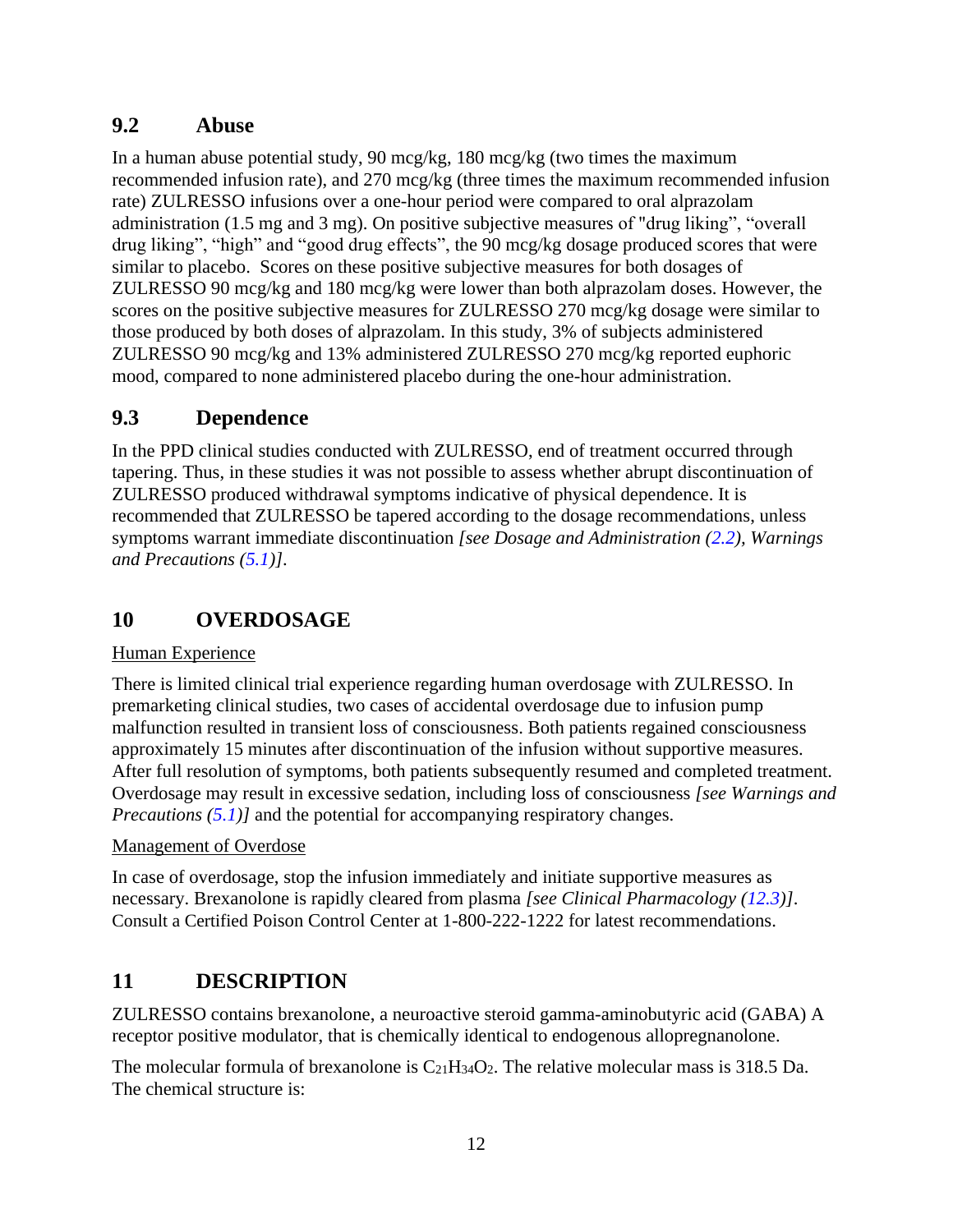## <span id="page-15-0"></span>**9.2 Abuse**

In a human abuse potential study, 90 mcg/kg, 180 mcg/kg (two times the maximum recommended infusion rate), and 270 mcg/kg (three times the maximum recommended infusion rate) ZULRESSO infusions over a one-hour period were compared to oral alprazolam administration (1.5 mg and 3 mg). On positive subjective measures of "drug liking", "overall drug liking", "high" and "good drug effects", the 90 mcg/kg dosage produced scores that were similar to placebo. Scores on these positive subjective measures for both dosages of ZULRESSO 90 mcg/kg and 180 mcg/kg were lower than both alprazolam doses. However, the scores on the positive subjective measures for ZULRESSO 270 mcg/kg dosage were similar to those produced by both doses of alprazolam. In this study, 3% of subjects administered ZULRESSO 90 mcg/kg and 13% administered ZULRESSO 270 mcg/kg reported euphoric mood, compared to none administered placebo during the one-hour administration.

# <span id="page-15-1"></span>**9.3 Dependence**

In the PPD clinical studies conducted with ZULRESSO, end of treatment occurred through tapering. Thus, in these studies it was not possible to assess whether abrupt discontinuation of ZULRESSO produced withdrawal symptoms indicative of physical dependence. It is recommended that ZULRESSO be tapered according to the dosage recommendations, unless symptoms warrant immediate discontinuation *[see Dosage and Administration ([2.2\)](#page-5-4), Warnings and Precautions ([5.1](#page-7-4))]*.

# <span id="page-15-2"></span>**10 OVERDOSAGE**

### Human Experience

There is limited clinical trial experience regarding human overdosage with ZULRESSO. In premarketing clinical studies, two cases of accidental overdosage due to infusion pump malfunction resulted in transient loss of consciousness. Both patients regained consciousness approximately 15 minutes after discontinuation of the infusion without supportive measures. After full resolution of symptoms, both patients subsequently resumed and completed treatment. Overdosage may result in excessive sedation, including loss of consciousness *[see Warnings and Precautions ([5.1\)](#page-7-4)]* and the potential for accompanying respiratory changes.

### Management of Overdose

In case of overdosage, stop the infusion immediately and initiate supportive measures as necessary. Brexanolone is rapidly cleared from plasma *[see Clinical Pharmacology ([12.3](#page-16-4))]*. Consult a Certified Poison Control Center at 1-800-222-1222 for latest recommendations.

# <span id="page-15-3"></span>**11 DESCRIPTION**

ZULRESSO contains brexanolone, a neuroactive steroid gamma-aminobutyric acid (GABA) A receptor positive modulator, that is chemically identical to endogenous allopregnanolone.

The molecular formula of brexanolone is  $C_{21}H_{34}O_2$ . The relative molecular mass is 318.5 Da. The chemical structure is: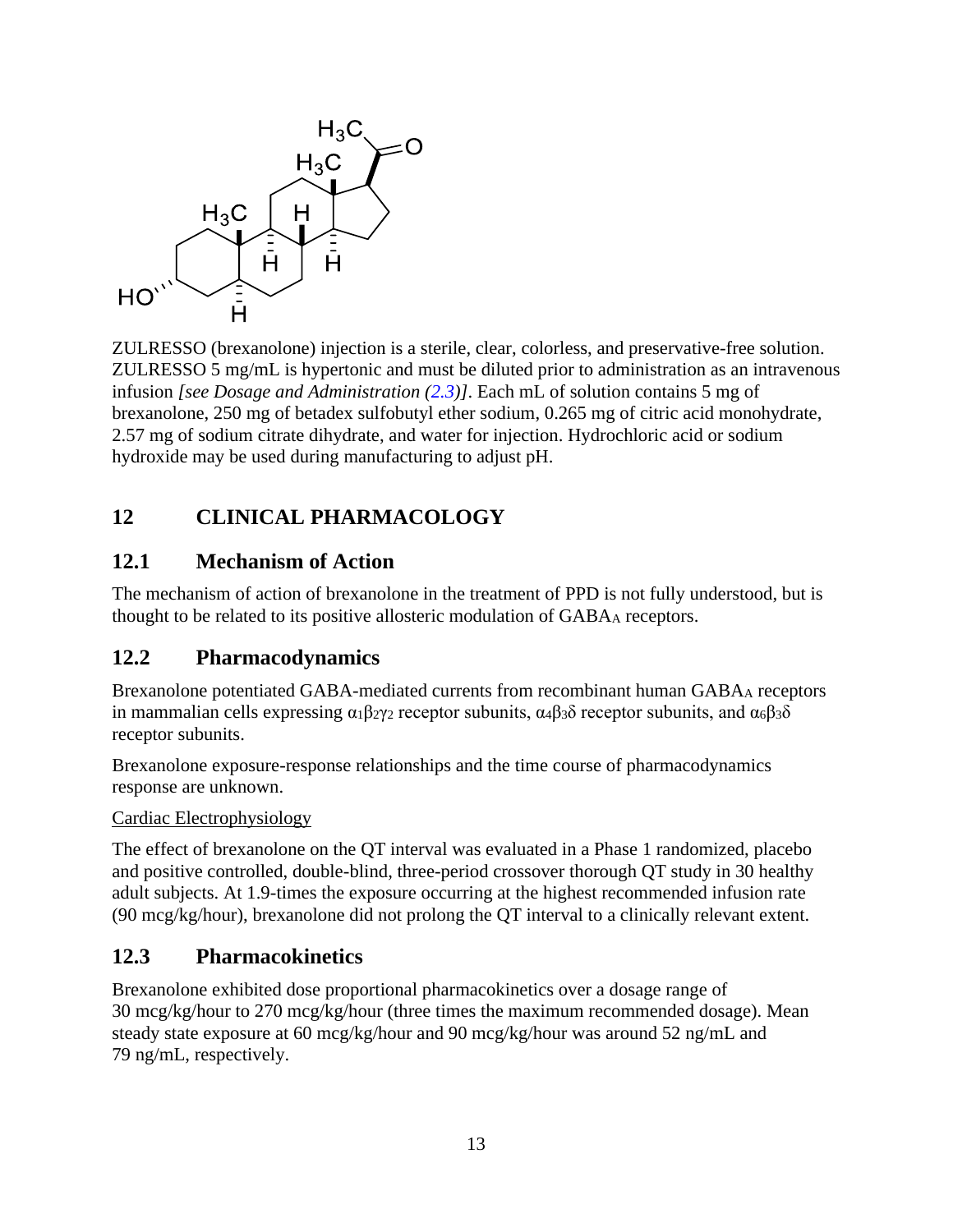<span id="page-16-4"></span>

ZULRESSO (brexanolone) injection is a sterile, clear, colorless, and preservative-free solution. ZULRESSO 5 mg/mL is hypertonic and must be diluted prior to administration as an intravenous infusion *[see Dosage and Administration ([2.3\)](#page-6-1)]*. Each mL of solution contains 5 mg of brexanolone, 250 mg of betadex sulfobutyl ether sodium, 0.265 mg of citric acid monohydrate, 2.57 mg of sodium citrate dihydrate, and water for injection. Hydrochloric acid or sodium hydroxide may be used during manufacturing to adjust pH.

## <span id="page-16-0"></span>**12 CLINICAL PHARMACOLOGY**

## <span id="page-16-1"></span>**12.1 Mechanism of Action**

The mechanism of action of brexanolone in the treatment of PPD is not fully understood, but is thought to be related to its positive allosteric modulation of GABA<sub>A</sub> receptors.

## <span id="page-16-2"></span>**12.2 Pharmacodynamics**

Brexanolone potentiated GABA-mediated currents from recombinant human GABA<sup>A</sup> receptors in mammalian cells expressing  $\alpha_1 \beta_2 \gamma_2$  receptor subunits,  $\alpha_4 \beta_3 \delta$  receptor subunits, and  $\alpha_6 \beta_3 \delta$ receptor subunits.

Brexanolone exposure-response relationships and the time course of pharmacodynamics response are unknown.

Cardiac Electrophysiology

The effect of brexanolone on the QT interval was evaluated in a Phase 1 randomized, placebo and positive controlled, double-blind, three-period crossover thorough QT study in 30 healthy adult subjects. At 1.9-times the exposure occurring at the highest recommended infusion rate (90 mcg/kg/hour), brexanolone did not prolong the QT interval to a clinically relevant extent.

## <span id="page-16-3"></span>**12.3 Pharmacokinetics**

Brexanolone exhibited dose proportional pharmacokinetics over a dosage range of 30 mcg/kg/hour to 270 mcg/kg/hour (three times the maximum recommended dosage). Mean steady state exposure at 60 mcg/kg/hour and 90 mcg/kg/hour was around 52 ng/mL and 79 ng/mL, respectively.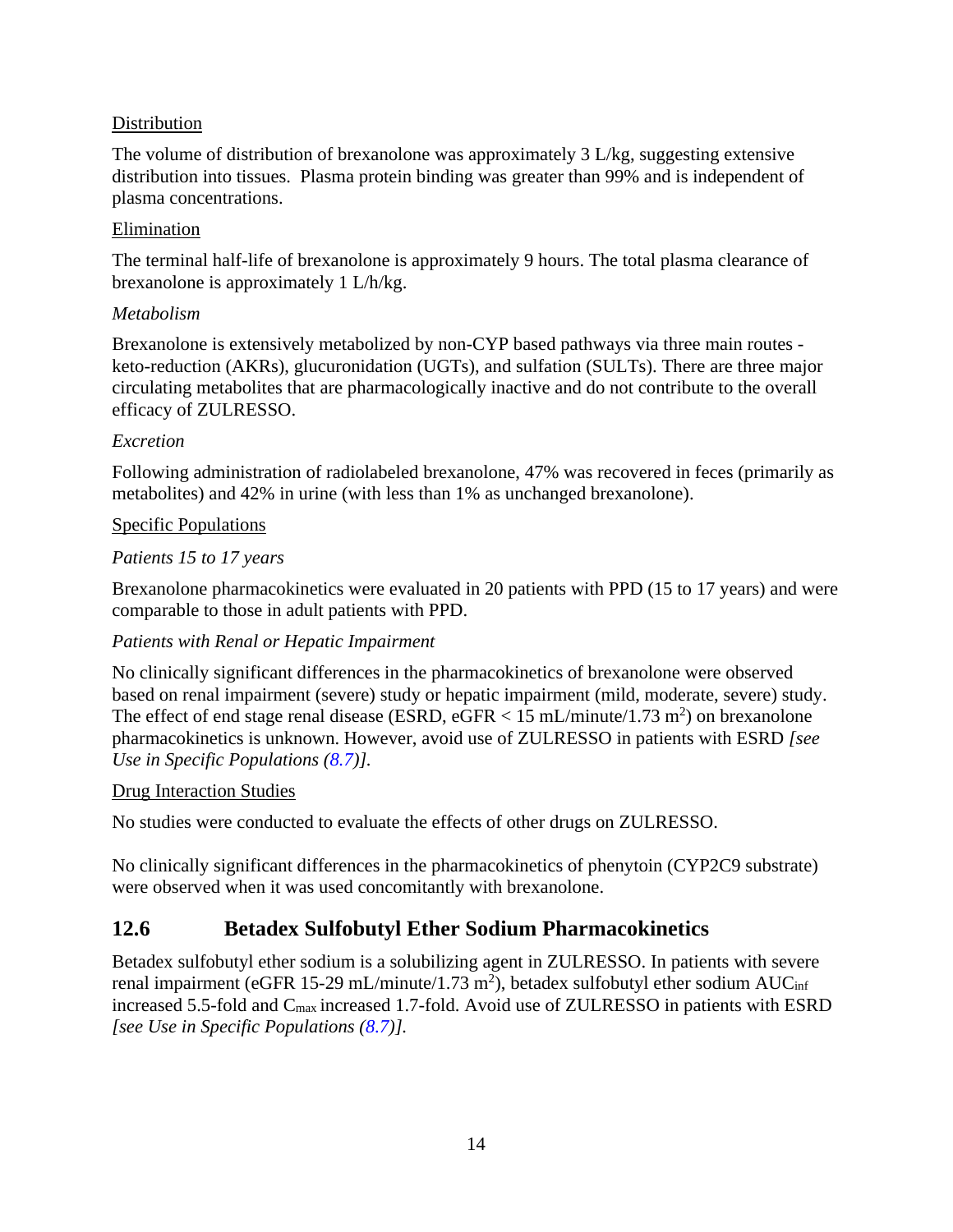### <span id="page-17-1"></span>Distribution

The volume of distribution of brexanolone was approximately  $3 L/kg$ , suggesting extensive distribution into tissues. Plasma protein binding was greater than 99% and is independent of plasma concentrations.

### Elimination

The terminal half-life of brexanolone is approximately 9 hours. The total plasma clearance of brexanolone is approximately 1 L/h/kg.

### *Metabolism*

Brexanolone is extensively metabolized by non-CYP based pathways via three main routes keto-reduction (AKRs), glucuronidation (UGTs), and sulfation (SULTs). There are three major circulating metabolites that are pharmacologically inactive and do not contribute to the overall efficacy of ZULRESSO.

### *Excretion*

Following administration of radiolabeled brexanolone, 47% was recovered in feces (primarily as metabolites) and 42% in urine (with less than 1% as unchanged brexanolone).

### Specific Populations

### *Patients 15 to 17 years*

Brexanolone pharmacokinetics were evaluated in 20 patients with PPD (15 to 17 years) and were comparable to those in adult patients with PPD.

### *Patients with Renal or Hepatic Impairment*

No clinically significant differences in the pharmacokinetics of brexanolone were observed based on renal impairment (severe) study or hepatic impairment (mild, moderate, severe) study. The effect of end stage renal disease (ESRD, eGFR  $< 15$  mL/minute/1.73 m<sup>2</sup>) on brexanolone pharmacokinetics is unknown. However, avoid use of ZULRESSO in patients with ESRD *[see Use in Specific Populations ([8.7\)](#page-14-6)].*

### Drug Interaction Studies

No studies were conducted to evaluate the effects of other drugs on ZULRESSO.

No clinically significant differences in the pharmacokinetics of phenytoin (CYP2C9 substrate) were observed when it was used concomitantly with brexanolone.

## <span id="page-17-0"></span>**12.6 Betadex Sulfobutyl Ether Sodium Pharmacokinetics**

Betadex sulfobutyl ether sodium is a solubilizing agent in ZULRESSO. In patients with severe renal impairment (eGFR 15-29 mL/minute/1.73 m<sup>2</sup>), betadex sulfobutyl ether sodium AUC<sub>inf</sub> increased 5.5-fold and C<sub>max</sub> increased 1.7-fold. Avoid use of ZULRESSO in patients with ESRD *[see Use in Specific Populations ([8.7\)](#page-14-6)].*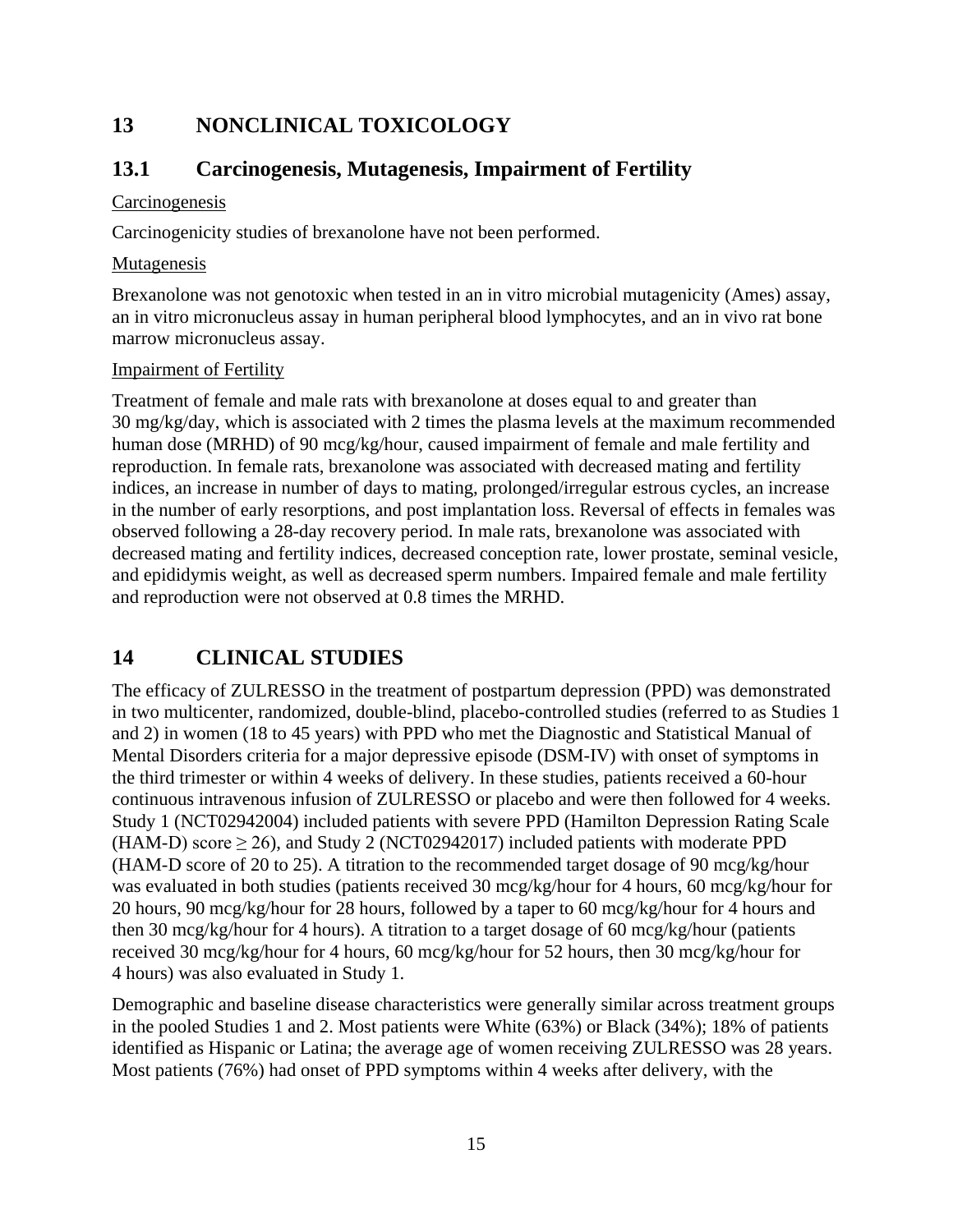## <span id="page-18-3"></span><span id="page-18-0"></span>**13 NONCLINICAL TOXICOLOGY**

## <span id="page-18-1"></span>**13.1 Carcinogenesis, Mutagenesis, Impairment of Fertility**

### **Carcinogenesis**

Carcinogenicity studies of brexanolone have not been performed.

### Mutagenesis

Brexanolone was not genotoxic when tested in an in vitro microbial mutagenicity (Ames) assay, an in vitro micronucleus assay in human peripheral blood lymphocytes, and an in vivo rat bone marrow micronucleus assay.

### Impairment of Fertility

Treatment of female and male rats with brexanolone at doses equal to and greater than 30 mg/kg/day, which is associated with 2 times the plasma levels at the maximum recommended human dose (MRHD) of 90 mcg/kg/hour, caused impairment of female and male fertility and reproduction. In female rats, brexanolone was associated with decreased mating and fertility indices, an increase in number of days to mating, prolonged/irregular estrous cycles, an increase in the number of early resorptions, and post implantation loss. Reversal of effects in females was observed following a 28-day recovery period. In male rats, brexanolone was associated with decreased mating and fertility indices, decreased conception rate, lower prostate, seminal vesicle, and epididymis weight, as well as decreased sperm numbers. Impaired female and male fertility and reproduction were not observed at 0.8 times the MRHD.

## <span id="page-18-2"></span>**14 CLINICAL STUDIES**

The efficacy of ZULRESSO in the treatment of postpartum depression (PPD) was demonstrated in two multicenter, randomized, double-blind, placebo-controlled studies (referred to as Studies 1 and 2) in women (18 to 45 years) with PPD who met the Diagnostic and Statistical Manual of Mental Disorders criteria for a major depressive episode (DSM-IV) with onset of symptoms in the third trimester or within 4 weeks of delivery. In these studies, patients received a 60-hour continuous intravenous infusion of ZULRESSO or placebo and were then followed for 4 weeks. Study 1 (NCT02942004) included patients with severe PPD (Hamilton Depression Rating Scale (HAM-D) score  $\geq$  26), and Study 2 (NCT02942017) included patients with moderate PPD (HAM-D score of 20 to 25). A titration to the recommended target dosage of 90 mcg/kg/hour was evaluated in both studies (patients received 30 mcg/kg/hour for 4 hours, 60 mcg/kg/hour for 20 hours, 90 mcg/kg/hour for 28 hours, followed by a taper to 60 mcg/kg/hour for 4 hours and then 30 mcg/kg/hour for 4 hours). A titration to a target dosage of 60 mcg/kg/hour (patients received 30 mcg/kg/hour for 4 hours, 60 mcg/kg/hour for 52 hours, then 30 mcg/kg/hour for 4 hours) was also evaluated in Study 1.

Demographic and baseline disease characteristics were generally similar across treatment groups in the pooled Studies 1 and 2. Most patients were White (63%) or Black (34%); 18% of patients identified as Hispanic or Latina; the average age of women receiving ZULRESSO was 28 years. Most patients (76%) had onset of PPD symptoms within 4 weeks after delivery, with the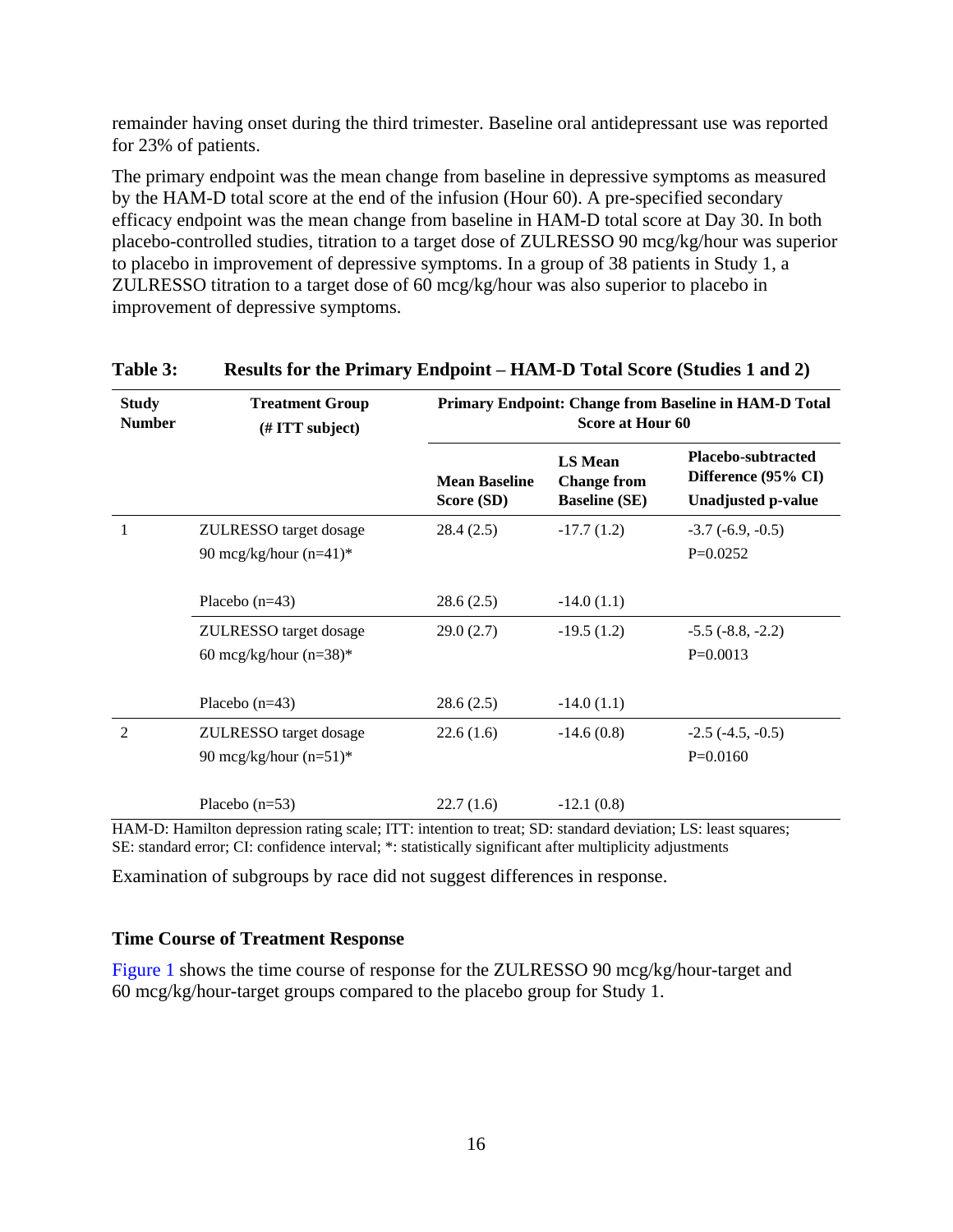remainder having onset during the third trimester. Baseline oral antidepressant use was reported for 23% of patients.

The primary endpoint was the mean change from baseline in depressive symptoms as measured by the HAM-D total score at the end of the infusion (Hour 60). A pre-specified secondary efficacy endpoint was the mean change from baseline in HAM-D total score at Day 30. In both placebo-controlled studies, titration to a target dose of ZULRESSO 90 mcg/kg/hour was superior to placebo in improvement of depressive symptoms. In a group of 38 patients in Study 1, a ZULRESSO titration to a target dose of 60 mcg/kg/hour was also superior to placebo in improvement of depressive symptoms.

| <b>Study</b><br><b>Number</b> | <b>Treatment Group</b><br>$(\# TTT \text{ subject})$ | Primary Endpoint: Change from Baseline in HAM-D Total<br>Score at Hour 60 |                                                              |                                                                               |  |
|-------------------------------|------------------------------------------------------|---------------------------------------------------------------------------|--------------------------------------------------------------|-------------------------------------------------------------------------------|--|
|                               |                                                      | <b>Mean Baseline</b><br>Score (SD)                                        | <b>LS Mean</b><br><b>Change from</b><br><b>Baseline</b> (SE) | <b>Placebo-subtracted</b><br>Difference (95% CI)<br><b>Unadjusted p-value</b> |  |
| 1                             | ZULRESSO target dosage                               | 28.4(2.5)                                                                 | $-17.7(1.2)$                                                 | $-3.7(-6.9, -0.5)$                                                            |  |
|                               | 90 mcg/kg/hour $(n=41)^*$                            |                                                                           |                                                              | $P=0.0252$                                                                    |  |
|                               | Placebo $(n=43)$                                     | 28.6(2.5)                                                                 | $-14.0(1.1)$                                                 |                                                                               |  |
|                               | ZULRESSO target dosage                               | 29.0(2.7)                                                                 | $-19.5(1.2)$                                                 | $-5.5$ $(-8.8, -2.2)$                                                         |  |
|                               | 60 mcg/kg/hour $(n=38)$ *                            |                                                                           |                                                              | $P=0.0013$                                                                    |  |
|                               | Placebo $(n=43)$                                     | 28.6(2.5)                                                                 | $-14.0(1.1)$                                                 |                                                                               |  |
| $\overline{2}$                | ZULRESSO target dosage                               | 22.6(1.6)                                                                 | $-14.6(0.8)$                                                 | $-2.5$ $(-4.5, -0.5)$                                                         |  |
|                               | 90 mcg/kg/hour $(n=51)^*$                            |                                                                           |                                                              | $P=0.0160$                                                                    |  |
|                               | Placebo $(n=53)$                                     | 22.7(1.6)                                                                 | $-12.1(0.8)$                                                 |                                                                               |  |

### **Table 3: Results for the Primary Endpoint – HAM-D Total Score (Studies 1 and 2)**

HAM-D: Hamilton depression rating scale; ITT: intention to treat; SD: standard deviation; LS: least squares; SE: standard error; CI: confidence interval; \*: statistically significant after multiplicity adjustments

Examination of subgroups by race did not suggest differences in response.

### **Time Course of Treatment Response**

[Figure](#page-20-1) 1 shows the time course of response for the ZULRESSO 90 mcg/kg/hour-target and 60 mcg/kg/hour-target groups compared to the placebo group for Study 1.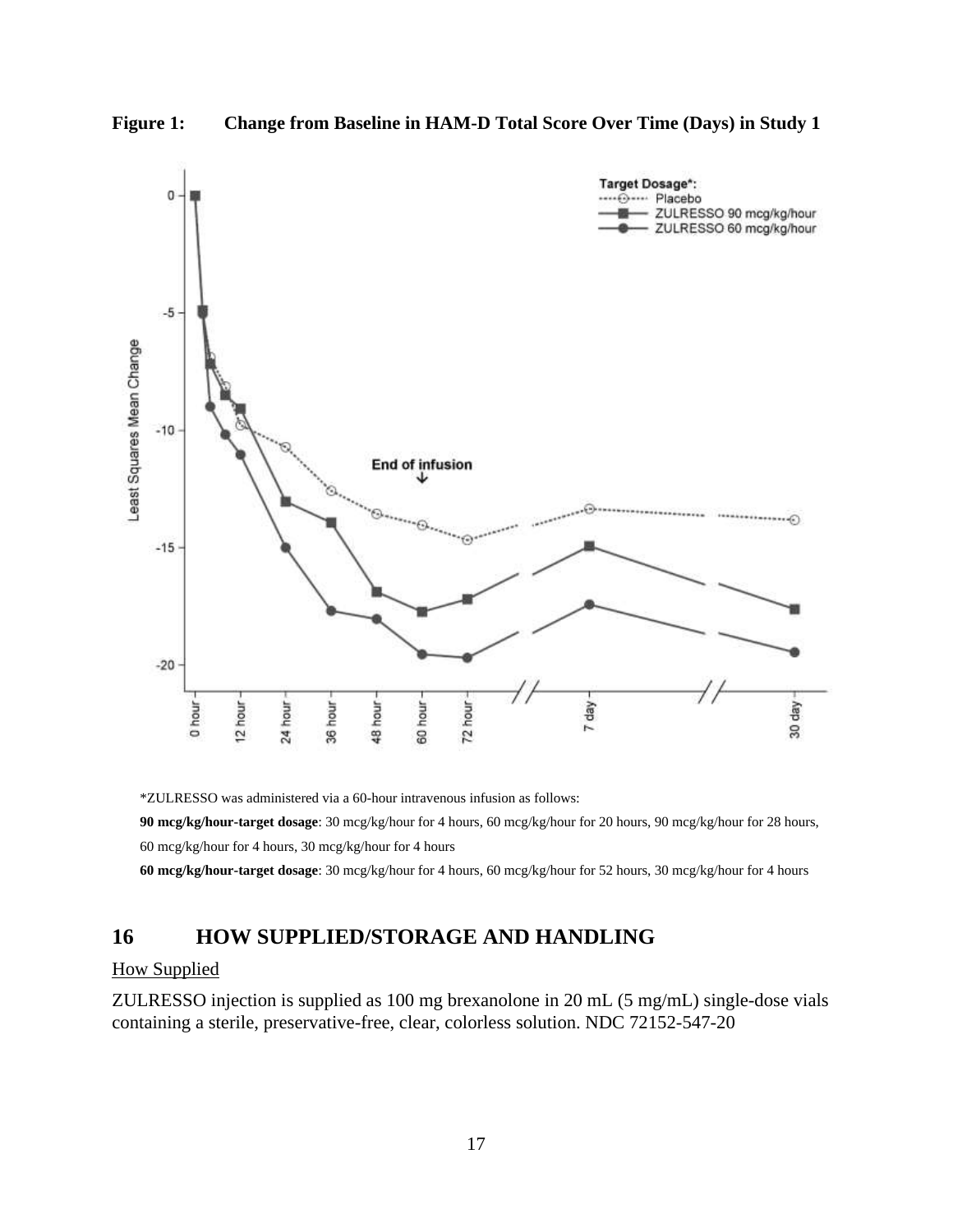<span id="page-20-1"></span>



\*ZULRESSO was administered via a 60-hour intravenous infusion as follows:

**90 mcg/kg/hour-target dosage**: 30 mcg/kg/hour for 4 hours, 60 mcg/kg/hour for 20 hours, 90 mcg/kg/hour for 28 hours, 60 mcg/kg/hour for 4 hours, 30 mcg/kg/hour for 4 hours

**60 mcg/kg/hour-target dosage**: 30 mcg/kg/hour for 4 hours, 60 mcg/kg/hour for 52 hours, 30 mcg/kg/hour for 4 hours

## <span id="page-20-0"></span>**16 HOW SUPPLIED/STORAGE AND HANDLING**

### How Supplied

ZULRESSO injection is supplied as 100 mg brexanolone in 20 mL (5 mg/mL) single-dose vials containing a sterile, preservative-free, clear, colorless solution. NDC 72152-547-20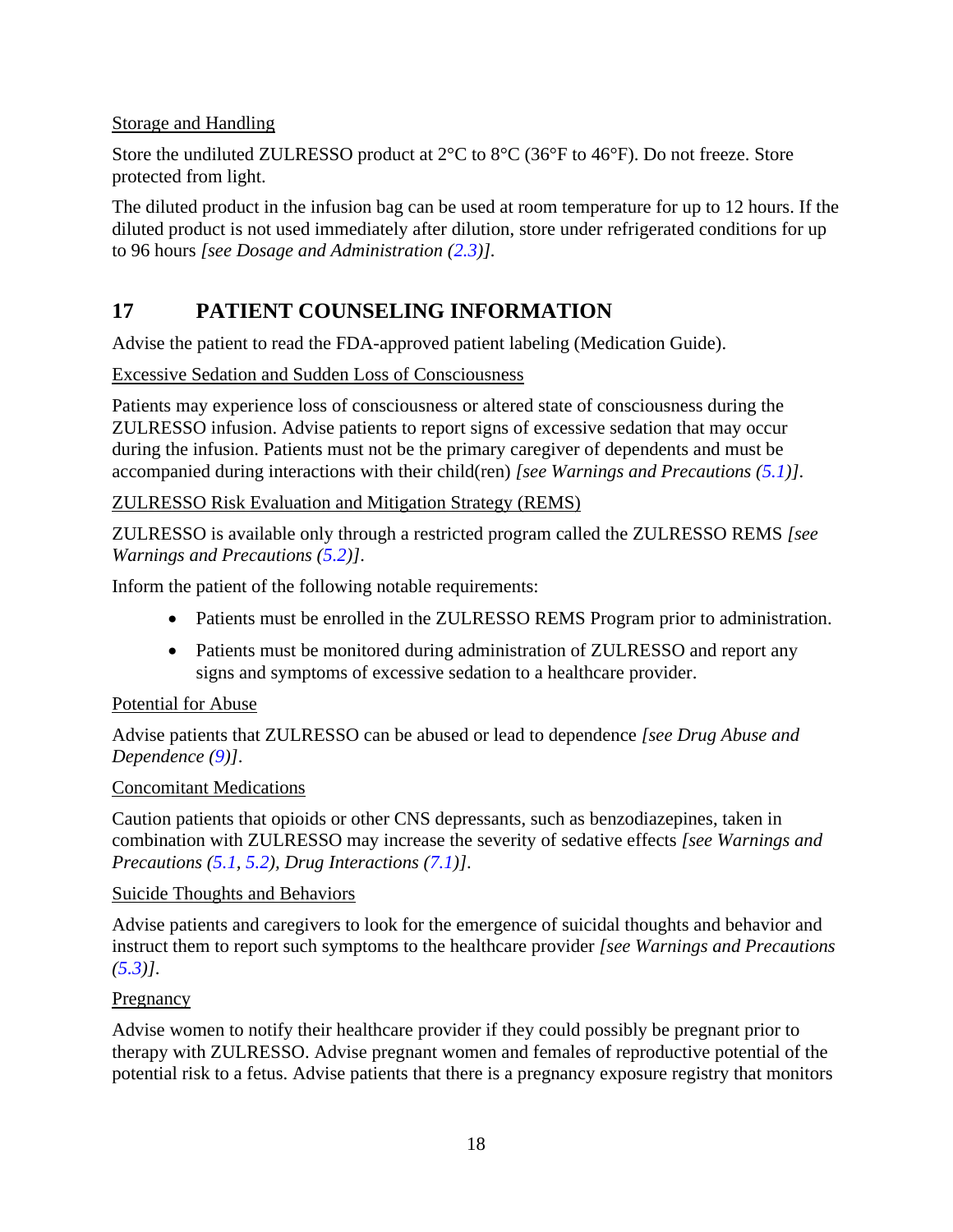### <span id="page-21-1"></span>Storage and Handling

Store the undiluted ZULRESSO product at 2°C to 8°C (36°F to 46°F). Do not freeze. Store protected from light.

The diluted product in the infusion bag can be used at room temperature for up to 12 hours. If the diluted product is not used immediately after dilution, store under refrigerated conditions for up to 96 hours *[see Dosage and Administration ([2.3\)](#page-6-1)].*

## <span id="page-21-0"></span>**17 PATIENT COUNSELING INFORMATION**

Advise the patient to read the FDA-approved patient labeling (Medication Guide).

Excessive Sedation and Sudden Loss of Consciousness

Patients may experience loss of consciousness or altered state of consciousness during the ZULRESSO infusion. Advise patients to report signs of excessive sedation that may occur during the infusion. Patients must not be the primary caregiver of dependents and must be accompanied during interactions with their child(ren) *[see Warnings and Precautions ([5.1](#page-7-4))]*.

### ZULRESSO Risk Evaluation and Mitigation Strategy (REMS)

ZULRESSO is available only through a restricted program called the ZULRESSO REMS *[see Warnings and Precautions ([5.2\)](#page-8-2)]*.

Inform the patient of the following notable requirements:

- Patients must be enrolled in the ZULRESSO REMS Program prior to administration.
- Patients must be monitored during administration of ZULRESSO and report any signs and symptoms of excessive sedation to a healthcare provider.

### Potential for Abuse

Advise patients that ZULRESSO can be abused or lead to dependence *[see Drug Abuse and Dependence [\(9\)](#page-14-6)]*.

### Concomitant Medications

Caution patients that opioids or other CNS depressants, such as benzodiazepines, taken in combination with ZULRESSO may increase the severity of sedative effects *[see Warnings and Precautions ([5.1](#page-7-4), [5.2\)](#page-8-2), Drug Interactions ([7.1](#page-12-2))]*.

### Suicide Thoughts and Behaviors

Advise patients and caregivers to look for the emergence of suicidal thoughts and behavior and instruct them to report such symptoms to the healthcare provider *[see Warnings and Precautions ([5.3\)](#page-8-2)]*.

### **Pregnancy**

Advise women to notify their healthcare provider if they could possibly be pregnant prior to therapy with ZULRESSO. Advise pregnant women and females of reproductive potential of the potential risk to a fetus. Advise patients that there is a pregnancy exposure registry that monitors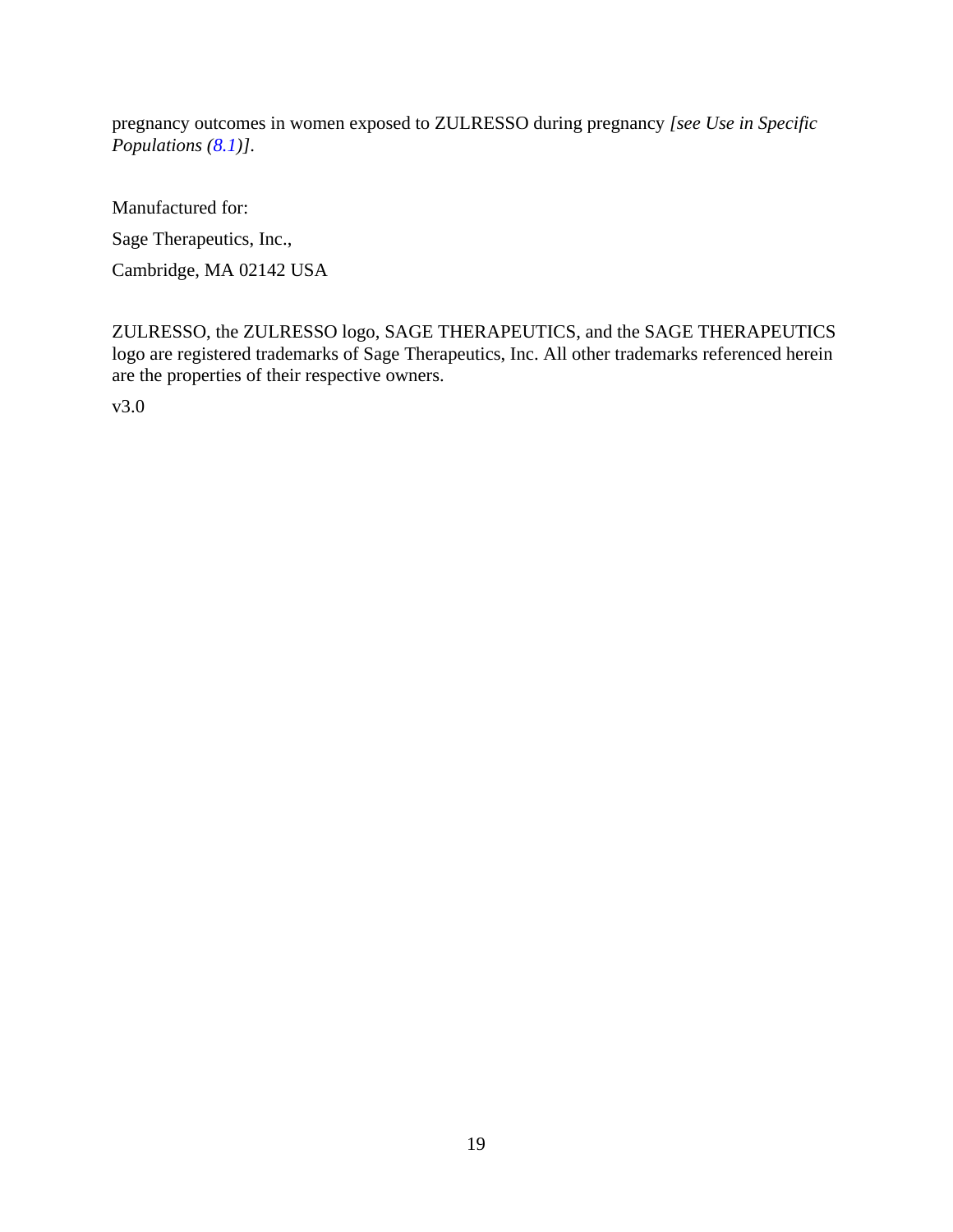pregnancy outcomes in women exposed to ZULRESSO during pregnancy *[see Use in Specific Populations ([8.1\)](#page-12-2)]*.

Manufactured for:

Sage Therapeutics, Inc.,

Cambridge, MA 02142 USA

ZULRESSO, the ZULRESSO logo, SAGE THERAPEUTICS, and the SAGE THERAPEUTICS logo are registered trademarks of Sage Therapeutics, Inc. All other trademarks referenced herein are the properties of their respective owners.

v3.0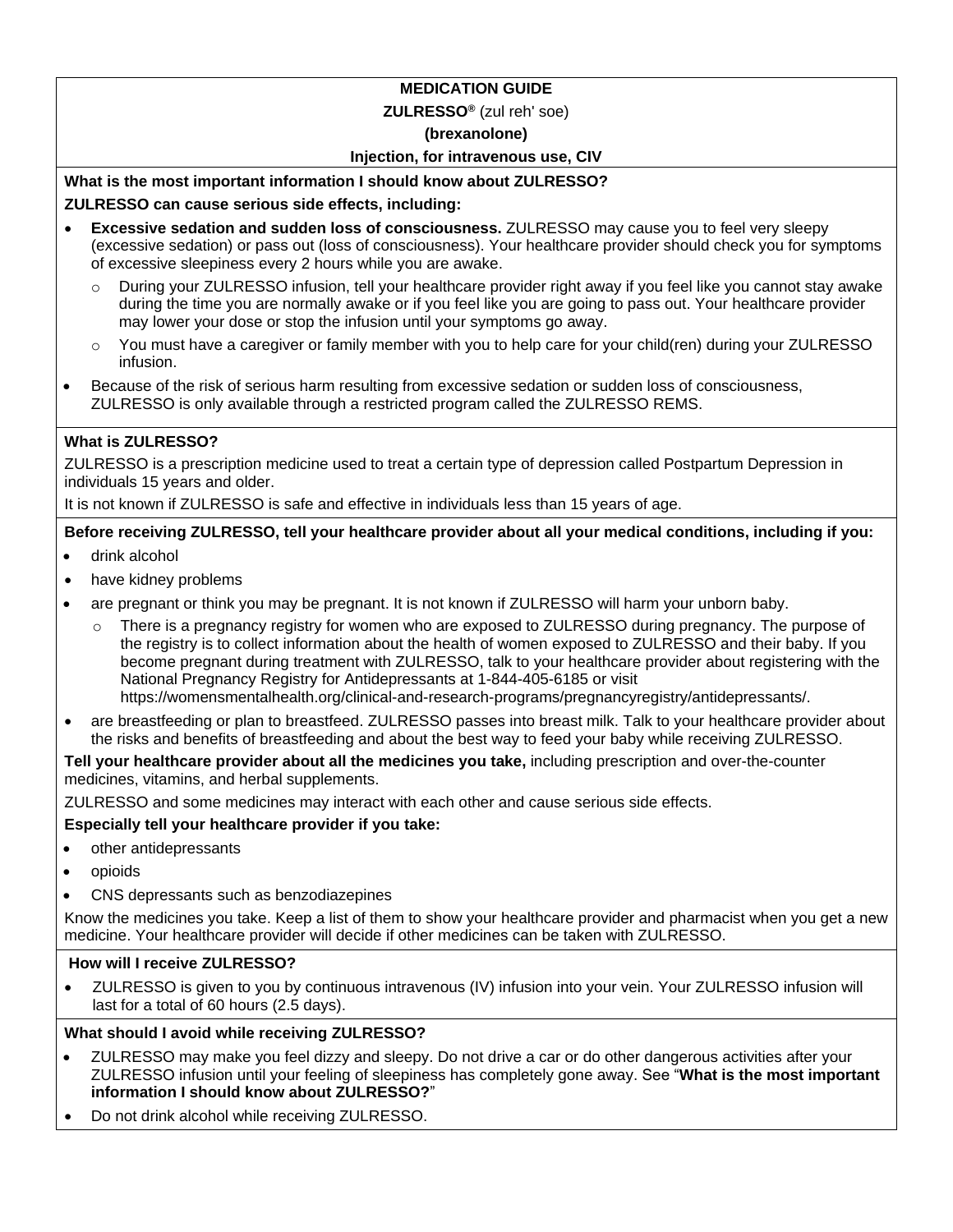### **MEDICATION GUIDE**

#### **ZULRESSO®** (zul reh' soe)

### **(brexanolone)**

### **Injection, for intravenous use, CIV**

### **What is the most important information I should know about ZULRESSO?**

### **ZULRESSO can cause serious side effects, including:**

- **Excessive sedation and sudden loss of consciousness.** ZULRESSO may cause you to feel very sleepy (excessive sedation) or pass out (loss of consciousness). Your healthcare provider should check you for symptoms of excessive sleepiness every 2 hours while you are awake.
	- o During your ZULRESSO infusion, tell your healthcare provider right away if you feel like you cannot stay awake during the time you are normally awake or if you feel like you are going to pass out. Your healthcare provider may lower your dose or stop the infusion until your symptoms go away.
	- o You must have a caregiver or family member with you to help care for your child(ren) during your ZULRESSO infusion.
- Because of the risk of serious harm resulting from excessive sedation or sudden loss of consciousness, ZULRESSO is only available through a restricted program called the ZULRESSO REMS.

### **What is ZULRESSO?**

ZULRESSO is a prescription medicine used to treat a certain type of depression called Postpartum Depression in individuals 15 years and older.

It is not known if ZULRESSO is safe and effective in individuals less than 15 years of age.

### **Before receiving ZULRESSO, tell your healthcare provider about all your medical conditions, including if you:**

- drink alcohol
- have kidney problems
- are pregnant or think you may be pregnant. It is not known if ZULRESSO will harm your unborn baby.
	- $\circ$  There is a pregnancy registry for women who are exposed to ZULRESSO during pregnancy. The purpose of the registry is to collect information about the health of women exposed to ZULRESSO and their baby. If you become pregnant during treatment with ZULRESSO, talk to your healthcare provider about registering with the National Pregnancy Registry for Antidepressants at 1-844-405-6185 or visit https://womensmentalhealth.org/clinical-and-research-programs/pregnancyregistry/antidepressants/.
- are breastfeeding or plan to breastfeed. ZULRESSO passes into breast milk. Talk to your healthcare provider about the risks and benefits of breastfeeding and about the best way to feed your baby while receiving ZULRESSO.

**Tell your healthcare provider about all the medicines you take,** including prescription and over-the-counter medicines, vitamins, and herbal supplements.

ZULRESSO and some medicines may interact with each other and cause serious side effects.

### **Especially tell your healthcare provider if you take:**

- other antidepressants
- opioids
- CNS depressants such as benzodiazepines

Know the medicines you take. Keep a list of them to show your healthcare provider and pharmacist when you get a new medicine. Your healthcare provider will decide if other medicines can be taken with ZULRESSO.

### **How will I receive ZULRESSO?**

• ZULRESSO is given to you by continuous intravenous (IV) infusion into your vein. Your ZULRESSO infusion will last for a total of 60 hours (2.5 days).

### **What should I avoid while receiving ZULRESSO?**

- ZULRESSO may make you feel dizzy and sleepy. Do not drive a car or do other dangerous activities after your ZULRESSO infusion until your feeling of sleepiness has completely gone away. See "**What is the most important information I should know about ZULRESSO?**"
- Do not drink alcohol while receiving ZULRESSO.